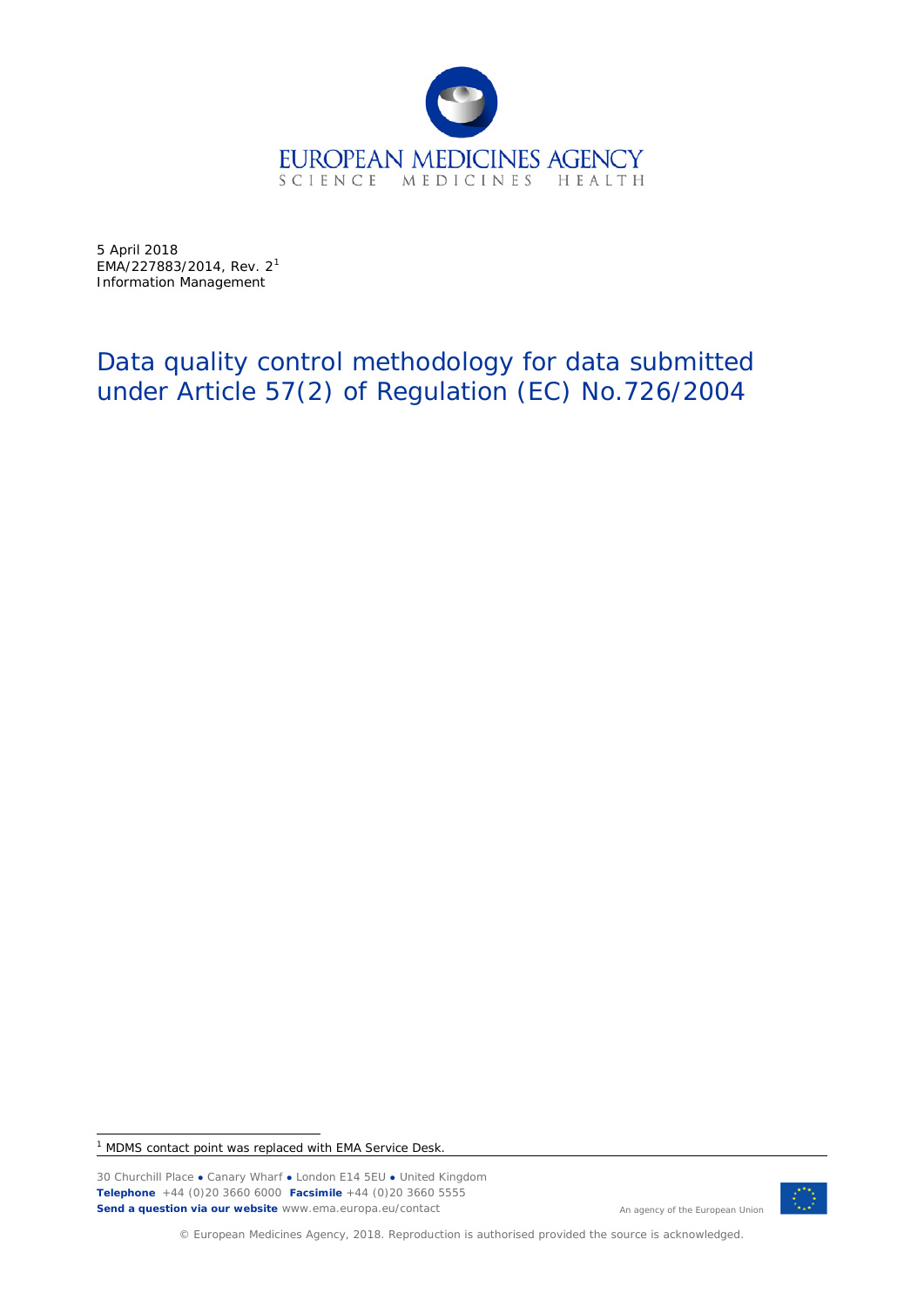

5 April 2018 EMA/227883/20[1](#page-0-0)4, Rev.  $2^1$ Information Management

# Data quality control methodology for data submitted under Article 57(2) of Regulation (EC) No.726/2004

<span id="page-0-0"></span><sup>1</sup> MDMS contact point was replaced with EMA Service Desk.

30 Churchill Place **●** Canary Wharf **●** London E14 5EU **●** United Kingdom **Telephone** +44 (0)20 3660 6000 **Facsimile** +44 (0)20 3660 5555 **Send a question via our website** www.ema.europa.eu/contact



An agency of the European Union

© European Medicines Agency, 2018. Reproduction is authorised provided the source is acknowledged.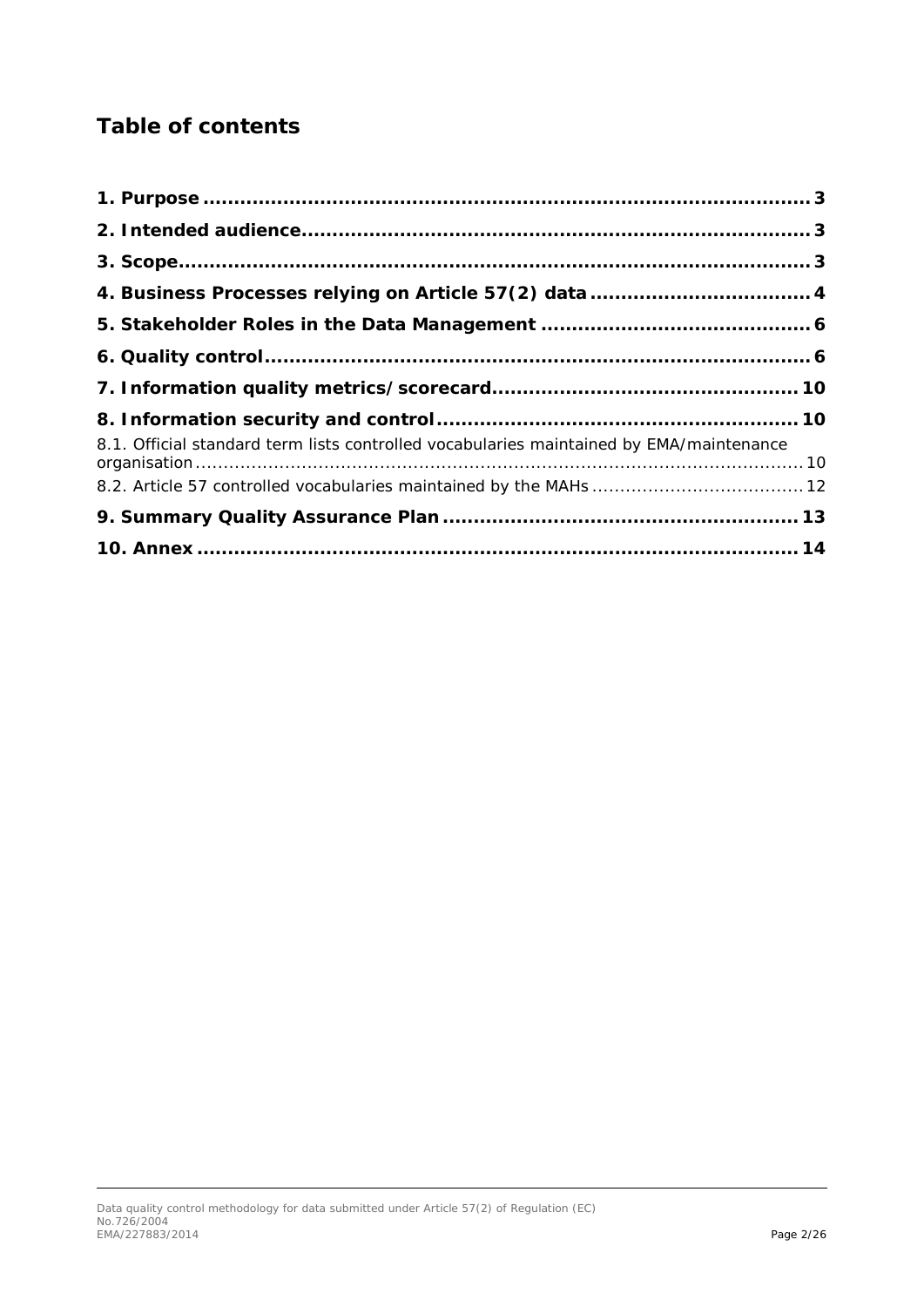# **Table of contents**

| 8.1. Official standard term lists controlled vocabularies maintained by EMA/maintenance |  |
|-----------------------------------------------------------------------------------------|--|
|                                                                                         |  |
|                                                                                         |  |
|                                                                                         |  |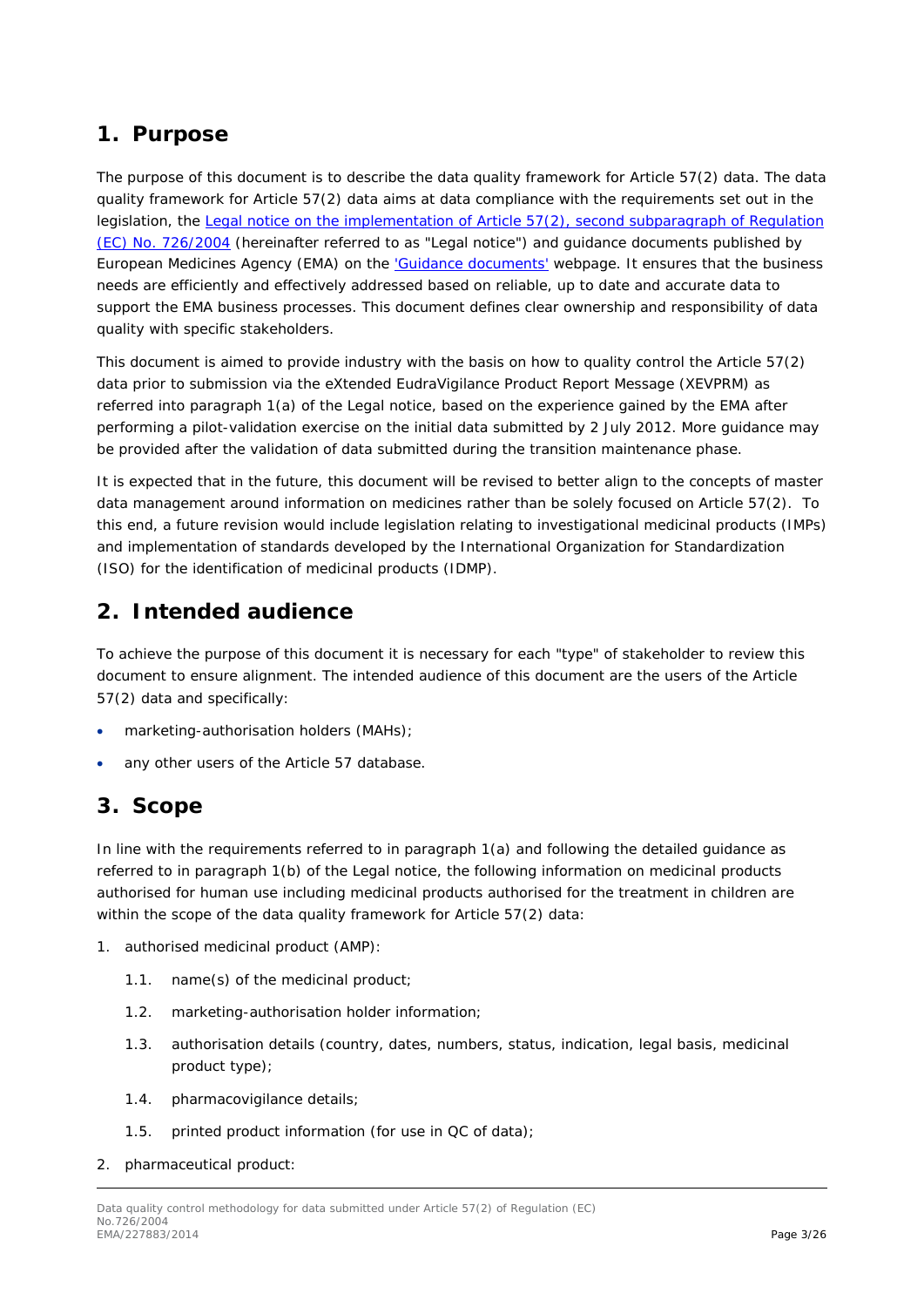### <span id="page-2-0"></span>**1. Purpose**

The purpose of this document is to describe the data quality framework for Article 57(2) data. The data quality framework for Article 57(2) data aims at data compliance with the requirements set out in the legislation, the [Legal notice on the implementation of Article 57\(2\), second subparagraph of Regulation](http://www.ema.europa.eu/docs/en_GB/document_library/Other/2011/07/WC500108212.pdf) [\(EC\) No. 726/2004](http://www.ema.europa.eu/docs/en_GB/document_library/Other/2011/07/WC500108212.pdf) (hereinafter referred to as "Legal notice") and guidance documents published by European Medicines Agency (EMA) on the ['Guidance documents'](http://www.ema.europa.eu/ema/index.jsp?curl=pages/regulation/document_listing/document_listing_000336.jsp&mid=WC0b01ac05804d8b2b&jsenabled=true%23section1) webpage. It ensures that the business needs are efficiently and effectively addressed based on reliable, up to date and accurate data to support the EMA business processes. This document defines clear ownership and responsibility of data quality with specific stakeholders.

This document is aimed to provide industry with the basis on how to quality control the Article 57(2) data prior to submission via the eXtended EudraVigilance Product Report Message (XEVPRM) as referred into paragraph 1(a) of the Legal notice, based on the experience gained by the EMA after performing a pilot-validation exercise on the initial data submitted by 2 July 2012. More guidance may be provided after the validation of data submitted during the transition maintenance phase.

It is expected that in the future, this document will be revised to better align to the concepts of master data management around information on medicines rather than be solely focused on Article 57(2). To this end, a future revision would include legislation relating to investigational medicinal products (IMPs) and implementation of standards developed by the International Organization for Standardization (ISO) for the identification of medicinal products (IDMP).

### <span id="page-2-1"></span>**2. Intended audience**

To achieve the purpose of this document it is necessary for each "type" of stakeholder to review this document to ensure alignment. The intended audience of this document are the users of the Article 57(2) data and specifically:

- marketing-authorisation holders (MAHs);
- any other users of the Article 57 database.

## <span id="page-2-2"></span>**3. Scope**

In line with the requirements referred to in paragraph 1(a) and following the detailed guidance as referred to in paragraph 1(b) of the Legal notice, the following information on medicinal products authorised for human use including medicinal products authorised for the treatment in children are within the scope of the data quality framework for Article 57(2) data:

- 1. authorised medicinal product (AMP):
	- 1.1. name(s) of the medicinal product;
	- 1.2. marketing-authorisation holder information;
	- 1.3. authorisation details (country, dates, numbers, status, indication, legal basis, medicinal product type);
	- 1.4. pharmacovigilance details;
	- 1.5. printed product information (for use in QC of data);
- 2. pharmaceutical product: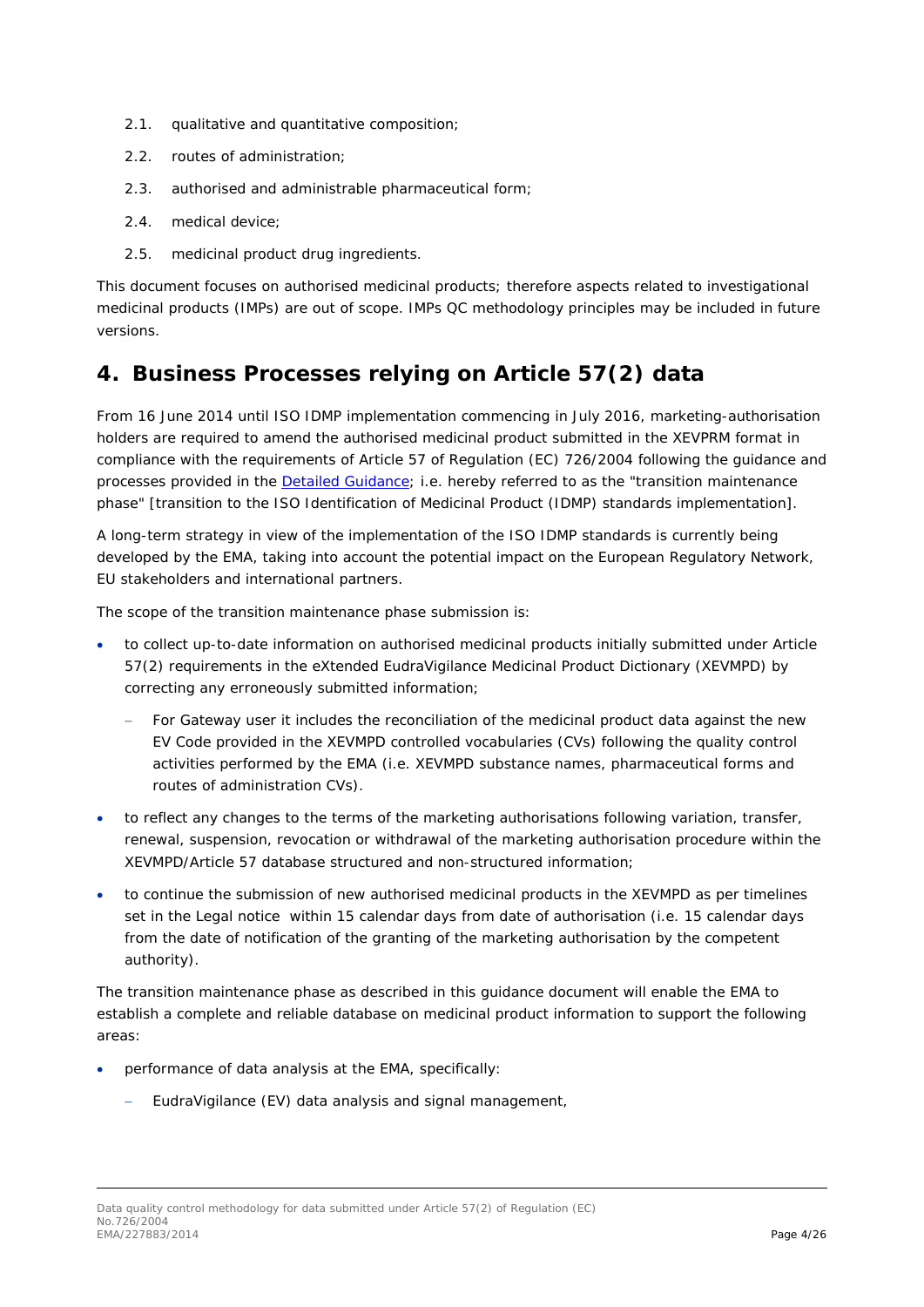- 2.1. qualitative and quantitative composition;
- 2.2. routes of administration;
- 2.3. authorised and administrable pharmaceutical form;
- 2.4. medical device;
- 2.5. medicinal product drug ingredients.

This document focuses on authorised medicinal products; therefore aspects related to investigational medicinal products (IMPs) are out of scope. IMPs QC methodology principles may be included in future versions.

## <span id="page-3-0"></span>**4. Business Processes relying on Article 57(2) data**

From 16 June 2014 until ISO IDMP implementation commencing in July 2016, marketing-authorisation holders are required to amend the authorised medicinal product submitted in the XEVPRM format in compliance with the requirements of Article 57 of Regulation (EC) 726/2004 following the guidance and processes provided in the [Detailed Guidance;](http://www.ema.europa.eu/ema/index.jsp?curl=pages/regulation/document_listing/document_listing_000336.jsp&mid=WC0b01ac058079126c) i.e. hereby referred to as the "transition maintenance phase" [transition to the ISO Identification of Medicinal Product (IDMP) standards implementation].

A long-term strategy in view of the implementation of the ISO IDMP standards is currently being developed by the EMA, taking into account the potential impact on the European Regulatory Network, EU stakeholders and international partners.

The scope of the transition maintenance phase submission is:

- to collect up-to-date information on authorised medicinal products initially submitted under Article 57(2) requirements in the eXtended EudraVigilance Medicinal Product Dictionary (XEVMPD) by correcting any erroneously submitted information;
	- For Gateway user it includes the reconciliation of the medicinal product data against the new EV Code provided in the XEVMPD controlled vocabularies (CVs) following the quality control activities performed by the EMA (i.e. XEVMPD substance names, pharmaceutical forms and routes of administration CVs).
- to reflect any changes to the terms of the marketing authorisations following variation, transfer, renewal, suspension, revocation or withdrawal of the marketing authorisation procedure within the XEVMPD/Article 57 database structured and non-structured information;
- to continue the submission of new authorised medicinal products in the XEVMPD as per timelines set in the Legal notice within 15 calendar days from date of authorisation (i.e. 15 calendar days from the date of notification of the granting of the marketing authorisation by the competent authority).

The transition maintenance phase as described in this guidance document will enable the EMA to establish a complete and reliable database on medicinal product information to support the following areas:

- performance of data analysis at the EMA, specifically:
	- EudraVigilance (EV) data analysis and signal management,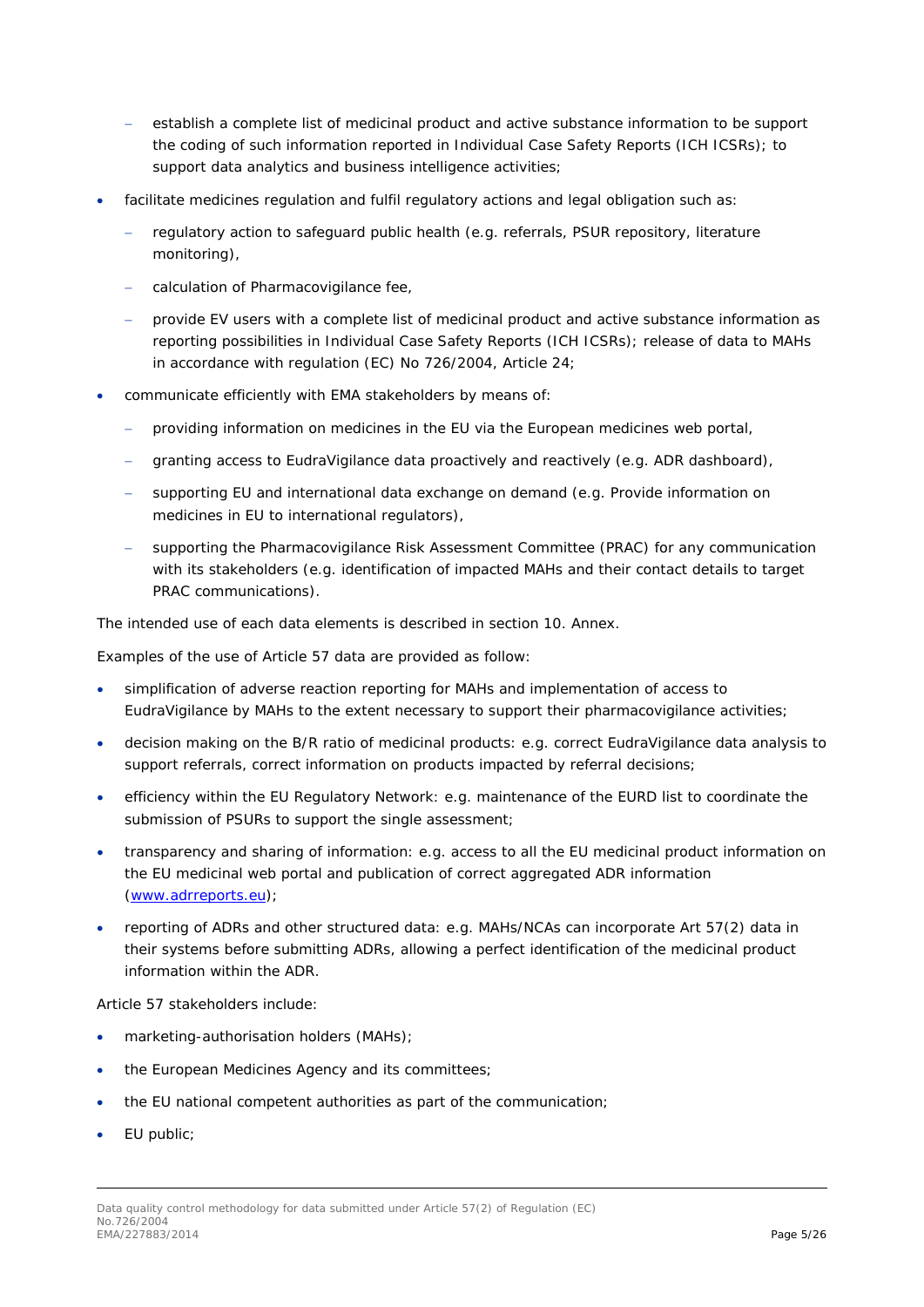- establish a complete list of medicinal product and active substance information to be support the coding of such information reported in Individual Case Safety Reports (ICH ICSRs); to support data analytics and business intelligence activities;
- facilitate medicines regulation and fulfil regulatory actions and legal obligation such as:
	- − regulatory action to safeguard public health (e.g. referrals, PSUR repository, literature monitoring),
	- − calculation of Pharmacovigilance fee,
	- − provide EV users with a complete list of medicinal product and active substance information as reporting possibilities in Individual Case Safety Reports (ICH ICSRs); release of data to MAHs in accordance with regulation (EC) No 726/2004, Article 24;
- communicate efficiently with EMA stakeholders by means of:
	- − providing information on medicines in the EU via the European medicines web portal,
	- − granting access to EudraVigilance data proactively and reactively (e.g. ADR dashboard),
	- supporting EU and international data exchange on demand (e.g. Provide information on medicines in EU to international regulators),
	- supporting the Pharmacovigilance Risk Assessment Committee (PRAC) for any communication with its stakeholders (e.g. identification of impacted MAHs and their contact details to target PRAC communications).

The intended use of each data elements is described in section *[10. Annex](#page-13-0)*.

Examples of the use of Article 57 data are provided as follow:

- simplification of adverse reaction reporting for MAHs and implementation of access to EudraVigilance by MAHs to the extent necessary to support their pharmacovigilance activities;
- decision making on the B/R ratio of medicinal products: e.g. correct EudraVigilance data analysis to support referrals, correct information on products impacted by referral decisions;
- efficiency within the EU Regulatory Network: e.g. maintenance of the EURD list to coordinate the submission of PSURs to support the single assessment;
- transparency and sharing of information: e.g. access to all the EU medicinal product information on the EU medicinal web portal and publication of correct aggregated ADR information [\(www.adrreports.eu\)](http://www.adrreports.eu/);
- reporting of ADRs and other structured data: e.g. MAHs/NCAs can incorporate Art 57(2) data in their systems before submitting ADRs, allowing a perfect identification of the medicinal product information within the ADR.

Article 57 stakeholders include:

- marketing-authorisation holders (MAHs);
- the European Medicines Agency and its committees;
- the EU national competent authorities as part of the communication;
- EU public;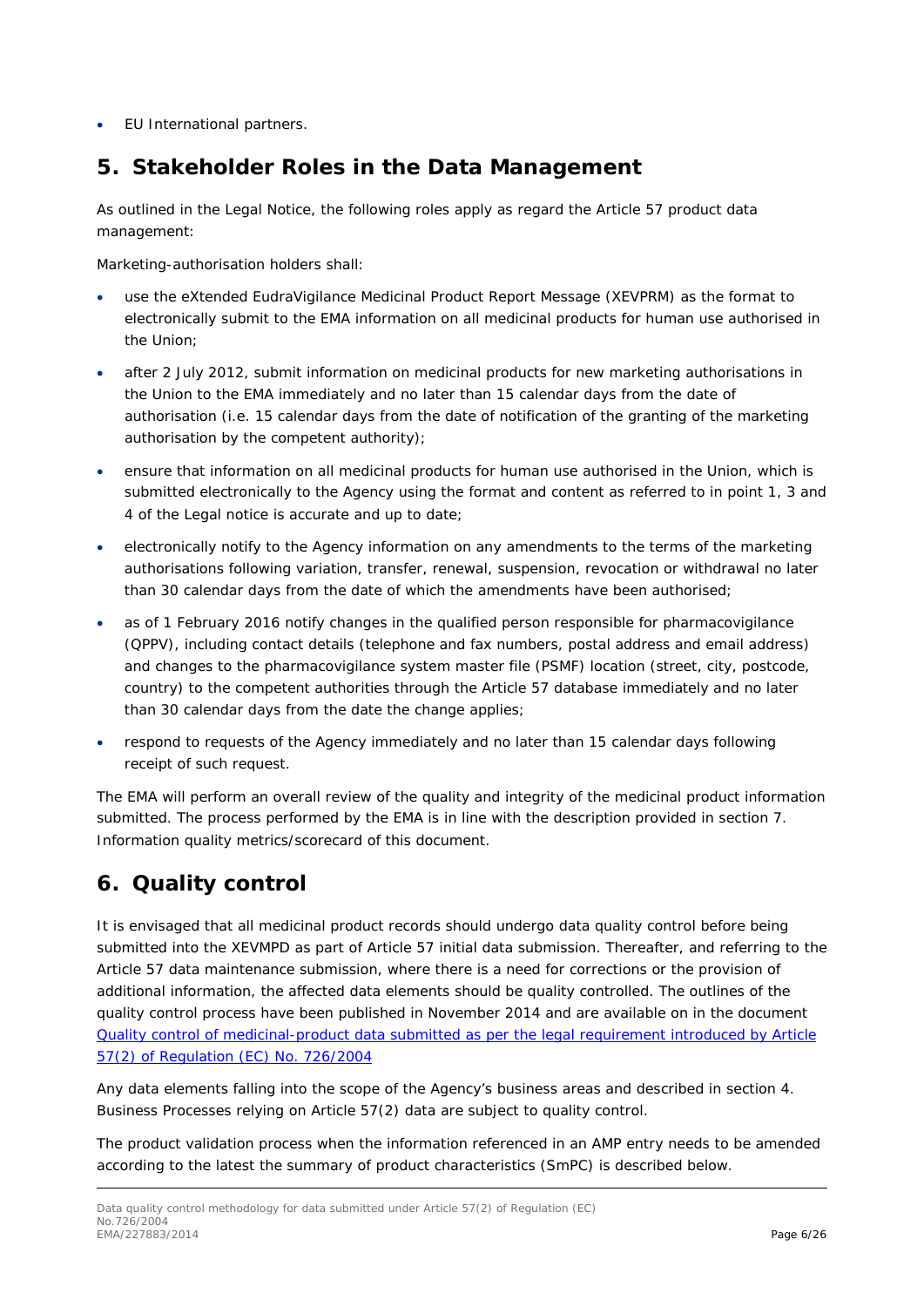• EU International partners.

### <span id="page-5-0"></span>**5. Stakeholder Roles in the Data Management**

As outlined in the Legal Notice, the following roles apply as regard the Article 57 product data management:

Marketing-authorisation holders shall:

- use the eXtended EudraVigilance Medicinal Product Report Message (XEVPRM) as the format to electronically submit to the EMA information on all medicinal products for human use authorised in the Union;
- after 2 July 2012, submit information on medicinal products for new marketing authorisations in the Union to the EMA immediately and no later than 15 calendar days from the date of authorisation (i.e. 15 calendar days from the date of notification of the granting of the marketing authorisation by the competent authority);
- ensure that information on all medicinal products for human use authorised in the Union, which is submitted electronically to the Agency using the format and content as referred to in point 1, 3 and 4 of the Legal notice is accurate and up to date;
- electronically notify to the Agency information on any amendments to the terms of the marketing authorisations following variation, transfer, renewal, suspension, revocation or withdrawal no later than 30 calendar days from the date of which the amendments have been authorised;
- as of 1 February 2016 notify changes in the qualified person responsible for pharmacovigilance (QPPV), including contact details (telephone and fax numbers, postal address and email address) and changes to the pharmacovigilance system master file (PSMF) location (street, city, postcode, country) to the competent authorities through the Article 57 database immediately and no later than 30 calendar days from the date the change applies;
- respond to requests of the Agency immediately and no later than 15 calendar days following receipt of such request.

The EMA will perform an overall review of the quality and integrity of the medicinal product information submitted. The process performed by the EMA is in line with the description provided in section *[7.](#page-9-0)  [Information quality metrics/scorecard](#page-9-0)* of this document.

# <span id="page-5-1"></span>**6. Quality control**

It is envisaged that all medicinal product records should undergo data quality control before being submitted into the XEVMPD as part of Article 57 initial data submission. Thereafter, and referring to the Article 57 data maintenance submission, where there is a need for corrections or the provision of additional information, the affected data elements should be quality controlled. The outlines of the quality control process have been published in November 2014 and are available on in the document [Quality control of medicinal-product data submitted as per the legal requirement introduced by Article](http://www.ema.europa.eu/docs/en_GB/document_library/Other/2014/11/WC500177533.pdf)  [57\(2\) of Regulation \(EC\) No. 726/2004](http://www.ema.europa.eu/docs/en_GB/document_library/Other/2014/11/WC500177533.pdf)

Any data elements falling into the scope of the Agency's business areas and described in section *[4.](#page-3-0)  [Business Processes relying on Article 57\(2\) data](#page-3-0)* are subject to quality control.

The product validation process when the information referenced in an AMP entry needs to be amended according to the latest the summary of product characteristics (SmPC) is described below.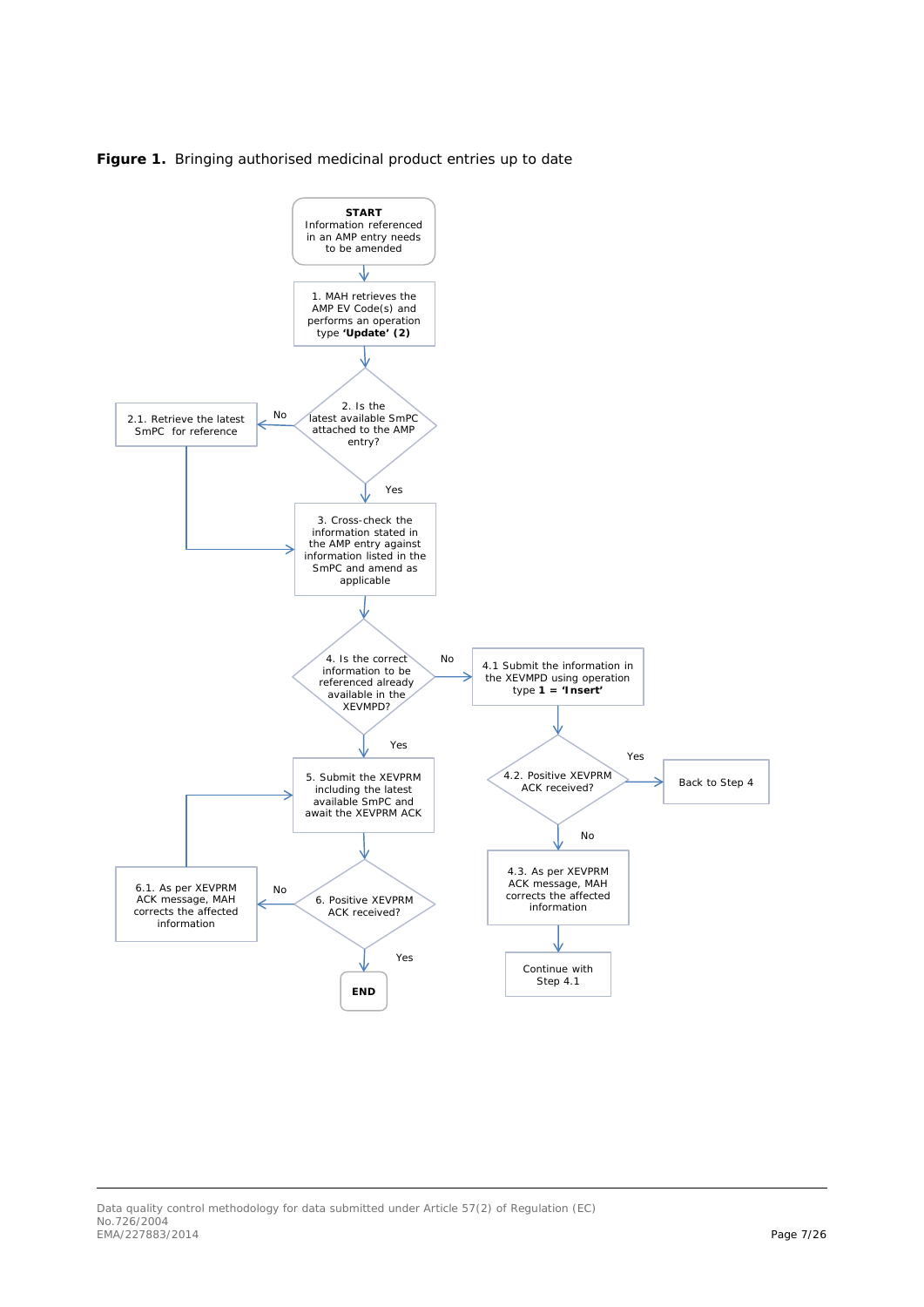<span id="page-6-0"></span>

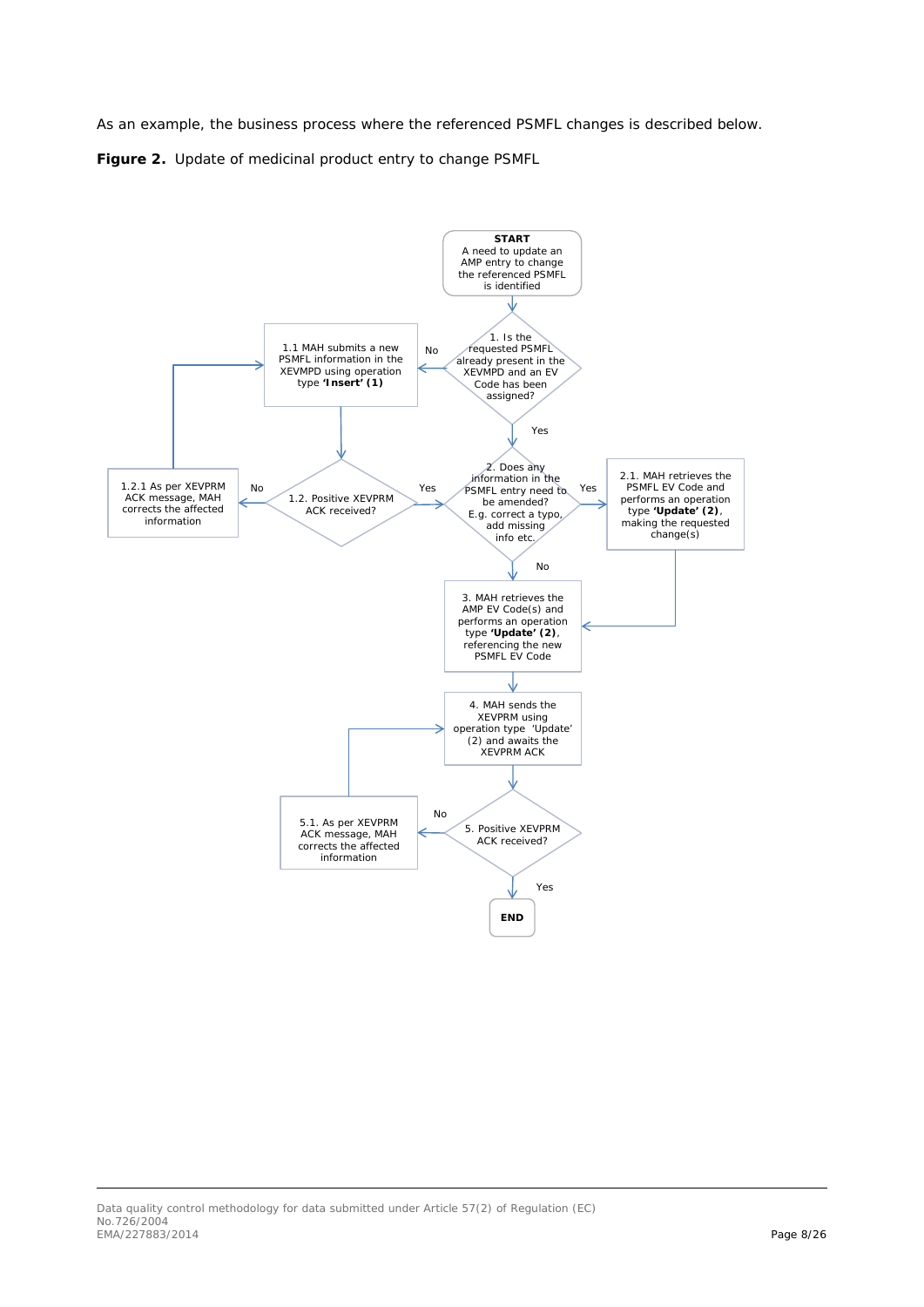As an example, the business process where the referenced PSMFL changes is described below.

<span id="page-7-0"></span>**Figure 2.** Update of medicinal product entry to change PSMFL

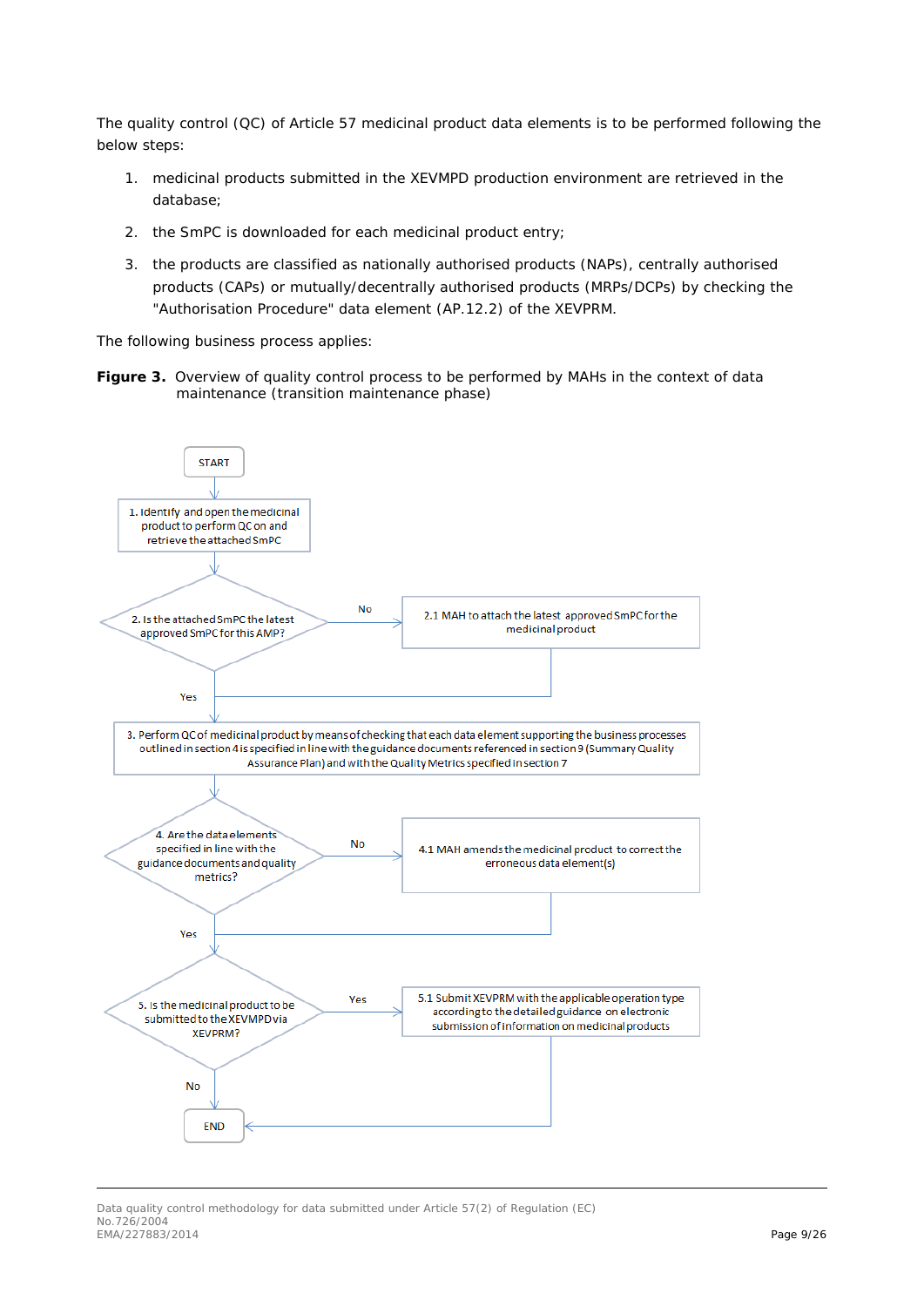The quality control (QC) of Article 57 medicinal product data elements is to be performed following the below steps:

- 1. medicinal products submitted in the XEVMPD production environment are retrieved in the database;
- 2. the SmPC is downloaded for each medicinal product entry;
- 3. the products are classified as nationally authorised products (NAPs), centrally authorised products (CAPs) or mutually/decentrally authorised products (MRPs/DCPs) by checking the "Authorisation Procedure" data element (AP.12.2) of the XEVPRM.

The following business process applies:

Figure 3. Overview of quality control process to be performed by MAHs in the context of data maintenance (transition maintenance phase)



#### Data quality control methodology for data submitted under Article 57(2) of Regulation (EC) No. 726/2004 EMA/227883/2014 Page 9/26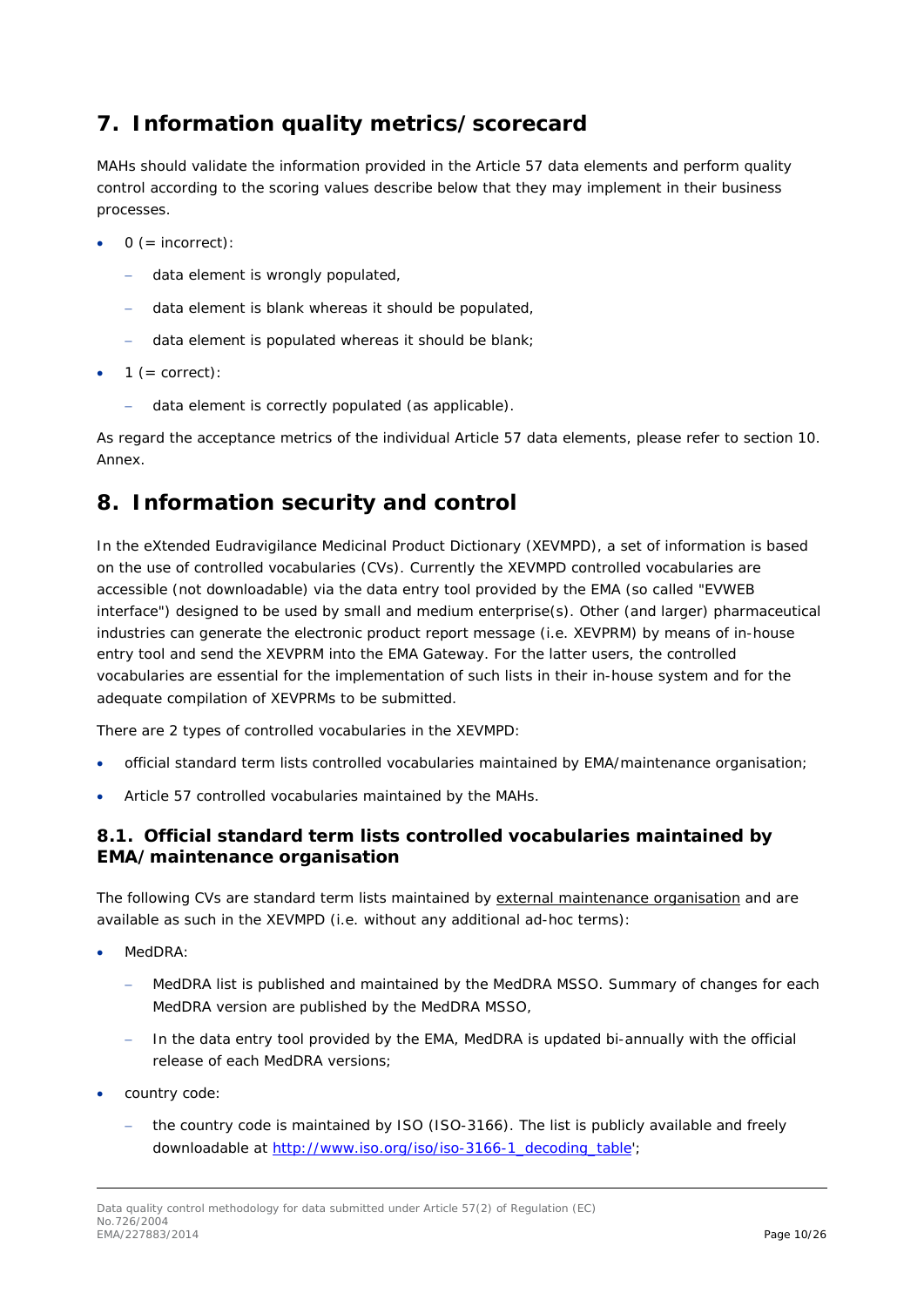# <span id="page-9-0"></span>**7. Information quality metrics/scorecard**

MAHs should validate the information provided in the Article 57 data elements and perform quality control according to the scoring values describe below that they may implement in their business processes.

- $0 (= incorrect):$ 
	- − data element is wrongly populated,
	- − data element is blank whereas it should be populated,
	- − data element is populated whereas it should be blank;
- $1 (= correct):$ 
	- − data element is correctly populated (as applicable).

As regard the acceptance metrics of the individual Article 57 data elements, please refer to section *[10.](#page-13-0)  [Annex.](#page-13-0)*

### <span id="page-9-1"></span>**8. Information security and control**

In the eXtended Eudravigilance Medicinal Product Dictionary (XEVMPD), a set of information is based on the use of controlled vocabularies (CVs). Currently the XEVMPD controlled vocabularies are accessible (not downloadable) via the data entry tool provided by the EMA (so called "EVWEB interface") designed to be used by small and medium enterprise(s). Other (and larger) pharmaceutical industries can generate the electronic product report message (i.e. XEVPRM) by means of in-house entry tool and send the XEVPRM into the EMA Gateway. For the latter users, the controlled vocabularies are essential for the implementation of such lists in their in-house system and for the adequate compilation of XEVPRMs to be submitted.

There are 2 types of controlled vocabularies in the XEVMPD:

- official standard term lists controlled vocabularies maintained by EMA/maintenance organisation;
- Article 57 controlled vocabularies maintained by the MAHs.

### <span id="page-9-2"></span>*8.1. Official standard term lists controlled vocabularies maintained by EMA/maintenance organisation*

The following CVs are standard term lists maintained by external maintenance organisation and are available as such in the XEVMPD (i.e. without any additional ad-hoc terms):

- MedDRA:
	- MedDRA list is published and maintained by the MedDRA MSSO. Summary of changes for each MedDRA version are published by the MedDRA MSSO,
	- − In the data entry tool provided by the EMA, MedDRA is updated bi-annually with the official release of each MedDRA versions;
- country code:
	- the country code is maintained by ISO (ISO-3166). The list is publicly available and freely downloadable at [http://www.iso.org/iso/iso-3166-1\\_decoding\\_table'](http://www.iso.org/iso/iso-3166-1_decoding_table);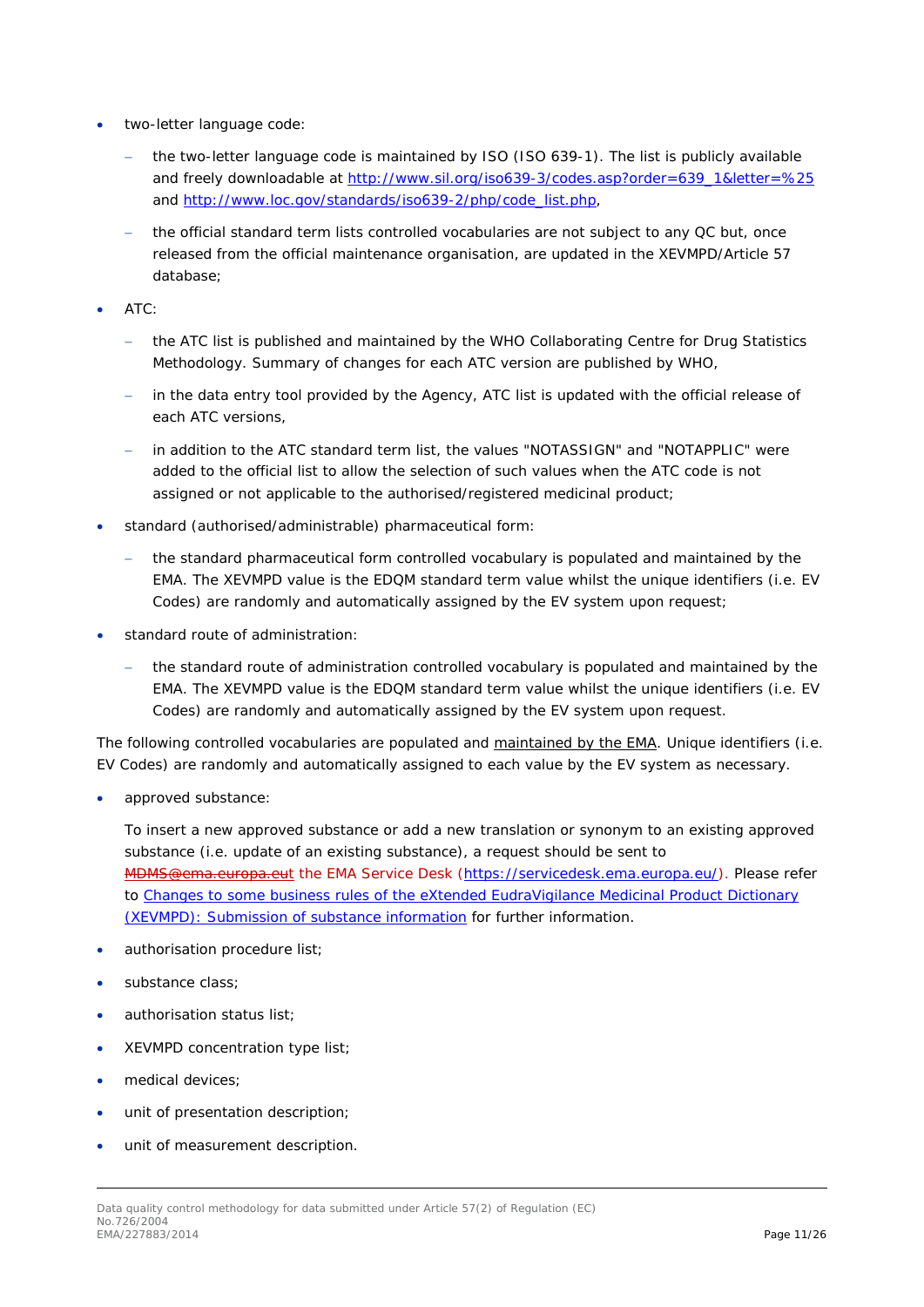- two-letter language code:
	- the two-letter language code is maintained by ISO (ISO 639-1). The list is publicly available and freely downloadable at [http://www.sil.org/iso639-3/codes.asp?order=639\\_1&letter=%25](http://www.sil.org/iso639-3/codes.asp?order=639_1&letter=%25) and http://www.loc.gov/standards/iso639-2/php/code\_list.php.
	- the official standard term lists controlled vocabularies are not subject to any QC but, once released from the official maintenance organisation, are updated in the XEVMPD/Article 57 database;
- ATC:
	- − the ATC list is published and maintained by the WHO Collaborating Centre for Drug Statistics Methodology. Summary of changes for each ATC version are published by WHO,
	- in the data entry tool provided by the Agency, ATC list is updated with the official release of each ATC versions,
	- − in addition to the ATC standard term list, the values "NOTASSIGN" and "NOTAPPLIC" were added to the official list to allow the selection of such values when the ATC code is not assigned or not applicable to the authorised/registered medicinal product;
- standard (authorised/administrable) pharmaceutical form:
	- the standard pharmaceutical form controlled vocabulary is populated and maintained by the EMA. The XEVMPD value is the EDQM standard term value whilst the unique identifiers (i.e. EV Codes) are randomly and automatically assigned by the EV system upon request;
- standard route of administration:
	- the standard route of administration controlled vocabulary is populated and maintained by the EMA. The XEVMPD value is the EDQM standard term value whilst the unique identifiers (i.e. EV Codes) are randomly and automatically assigned by the EV system upon request.

The following controlled vocabularies are populated and maintained by the EMA. Unique identifiers (i.e. EV Codes) are randomly and automatically assigned to each value by the EV system as necessary.

• approved substance:

To insert a new approved substance or add a new translation or synonym to an existing approved substance (i.e. update of an existing substance), a request should be sent to MDMS@ema.europa.eut the EMA Service Desk [\(https://servicedesk.ema.europa.eu/\)](https://servicedesk.ema.europa.eu/). Please refer to [Changes to some business rules of the eXtended EudraVigilance Medicinal Product Dictionary](http://www.ema.europa.eu/docs/en_GB/document_library/Other/2013/11/WC500153998.pdf)  [\(XEVMPD\): Submission of substance information](http://www.ema.europa.eu/docs/en_GB/document_library/Other/2013/11/WC500153998.pdf) for further information.

- authorisation procedure list;
- substance class:
- authorisation status list;
- XEVMPD concentration type list;
- medical devices:
- unit of presentation description;
- unit of measurement description.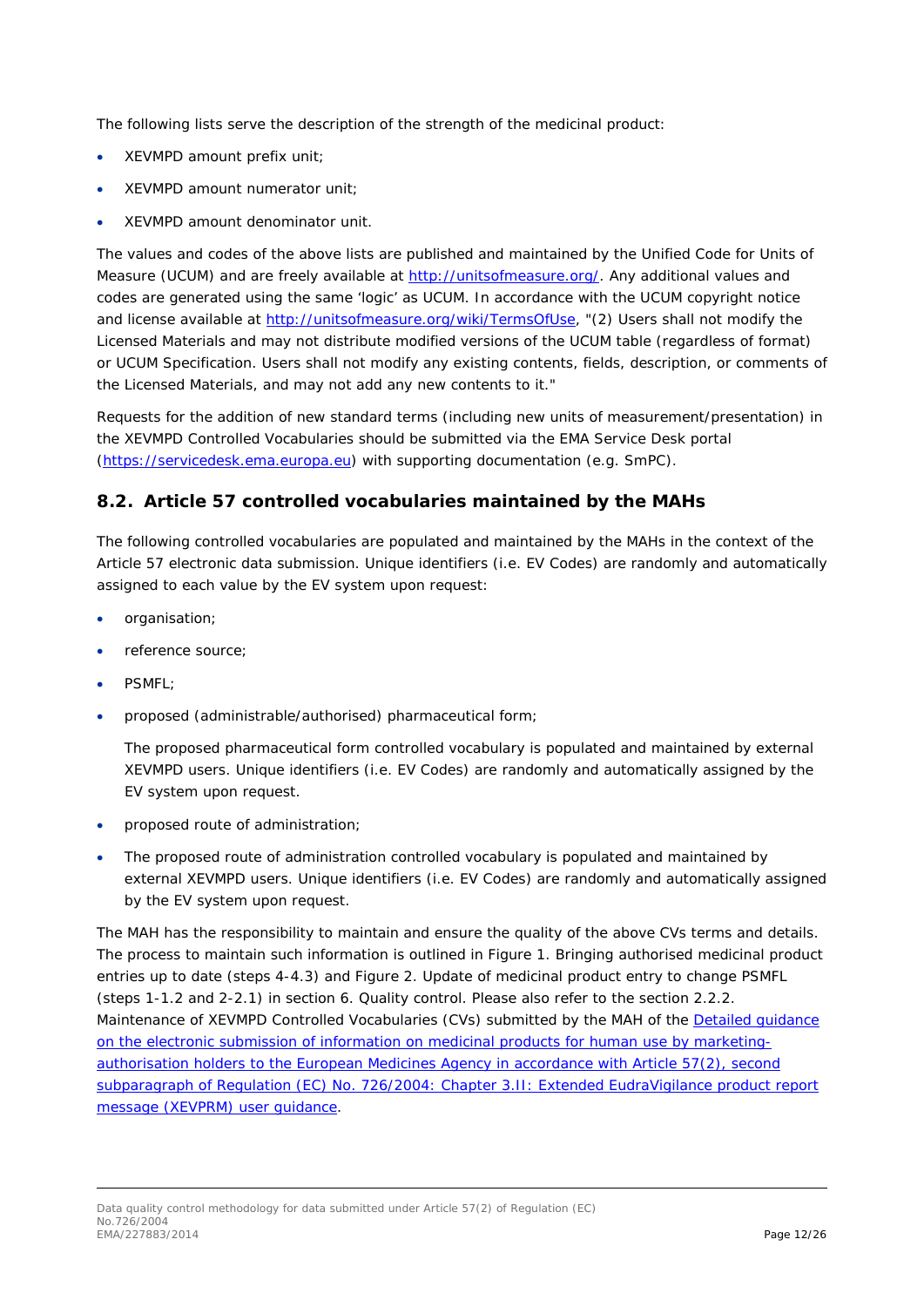The following lists serve the description of the strength of the medicinal product:

- XEVMPD amount prefix unit;
- XEVMPD amount numerator unit;
- XEVMPD amount denominator unit.

The values and codes of the above lists are published and maintained by the Unified Code for Units of Measure (UCUM) and are freely available at [http://unitsofmeasure.org/.](http://unitsofmeasure.org/) Any additional values and codes are generated using the same 'logic' as UCUM. In accordance with the UCUM copyright notice and license available at [http://unitsofmeasure.org/wiki/TermsOfUse,](http://unitsofmeasure.org/wiki/TermsOfUse) "(2) *Users shall not modify the Licensed Materials and may not distribute modified versions of the UCUM table (regardless of format) or UCUM Specification. Users shall not modify any existing contents, fields, description, or comments of the Licensed Materials, and may not add any new contents to it.*"

Requests for the addition of new standard terms (including new units of measurement/presentation) in the XEVMPD Controlled Vocabularies should be submitted via the EMA Service Desk portal [\(https://servicedesk.ema.europa.eu\)](https://servicedesk.ema.europa.eu/) with supporting documentation (e.g. SmPC).

### <span id="page-11-0"></span>*8.2. Article 57 controlled vocabularies maintained by the MAHs*

The following controlled vocabularies are populated and maintained by the MAHs in the context of the Article 57 electronic data submission. Unique identifiers (i.e. EV Codes) are randomly and automatically assigned to each value by the EV system upon request:

- organisation;
- reference source;
- PSMFL;
- proposed (administrable/authorised) pharmaceutical form;

The proposed pharmaceutical form controlled vocabulary is populated and maintained by external XEVMPD users. Unique identifiers (i.e. EV Codes) are randomly and automatically assigned by the EV system upon request.

- proposed route of administration;
- The proposed route of administration controlled vocabulary is populated and maintained by external XEVMPD users. Unique identifiers (i.e. EV Codes) are randomly and automatically assigned by the EV system upon request.

The MAH has the responsibility to maintain and ensure the quality of the above CVs terms and details. The process to maintain such information is outlined in *[Figure 1. Bringing authorised medicinal product](#page-6-0)  [entries up to date](#page-6-0)* (steps 4-4.3) and *[Figure 2. Update of medicinal product entry to change PSMFL](#page-7-0)* (steps 1-1.2 and 2-2.1) in section *[6. Quality control](#page-5-1)*. Please also refer to the section *2.2.2. Maintenance of XEVMPD Controlled Vocabularies (CVs) submitted by the MAH* of the [Detailed guidance](http://www.ema.europa.eu/docs/en_GB/document_library/Other/2012/03/WC500123681.pdf)  [on the electronic submission of information on medicinal products for human use by marketing](http://www.ema.europa.eu/docs/en_GB/document_library/Other/2012/03/WC500123681.pdf)[authorisation holders to the European Medicines Agency in accordance with Article 57\(2\), second](http://www.ema.europa.eu/docs/en_GB/document_library/Other/2012/03/WC500123681.pdf)  [subparagraph of Regulation \(EC\) No. 726/2004: Chapter 3.II: Extended EudraVigilance product report](http://www.ema.europa.eu/docs/en_GB/document_library/Other/2012/03/WC500123681.pdf)  [message \(XEVPRM\) user guidance.](http://www.ema.europa.eu/docs/en_GB/document_library/Other/2012/03/WC500123681.pdf)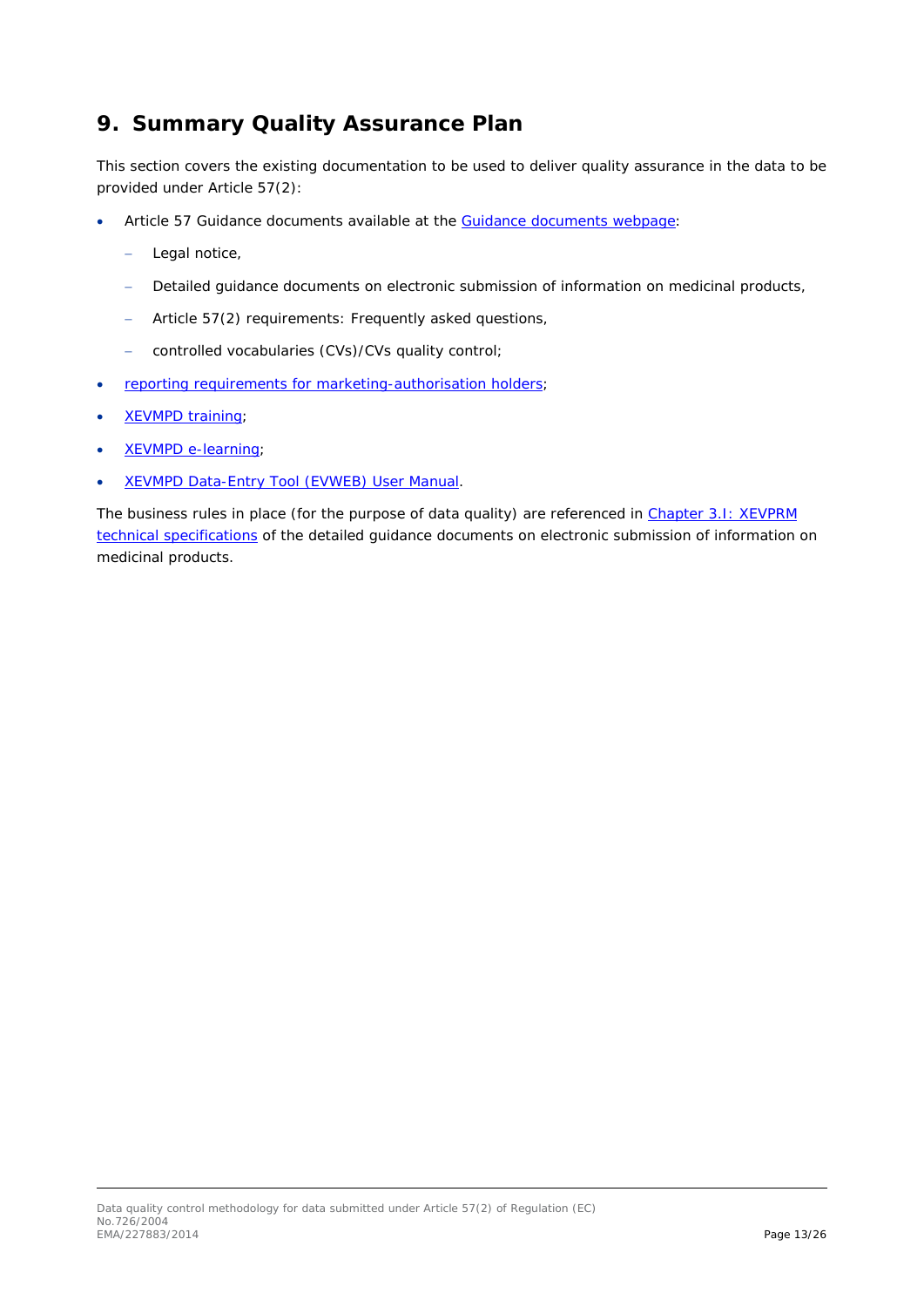### <span id="page-12-0"></span>**9. Summary Quality Assurance Plan**

This section covers the existing documentation to be used to deliver quality assurance in the data to be provided under Article 57(2):

- Article 57 Guidance documents available at the [Guidance documents webpage:](http://www.ema.europa.eu/ema/index.jsp?curl=pages/regulation/document_listing/document_listing_000336.jsp&mid=WC0b01ac05804d8b2b&jsenabled=true):)
	- − Legal notice,
	- − Detailed guidance documents on electronic submission of information on medicinal products,
	- Article 57(2) requirements: Frequently asked questions,
	- − controlled vocabularies (CVs)/CVs quality control;
- [reporting requirements for marketing-authorisation holders;](http://www.ema.europa.eu/ema/index.jsp?curl=pages/regulation/general/general_content_000594.jsp&mid=WC0b01ac058078fbe1)
- [XEVMPD training;](http://www.ema.europa.eu/ema/index.jsp?curl=pages/regulation/general/general_content_000596.jsp&mid=WC0b01ac058079126e)
- [XEVMPD e-learning;](http://www.ema.europa.eu/ema/index.jsp?curl=pages/regulation/general/general_content_000596.jsp&mid=WC0b01ac058079126e)
- [XEVMPD Data-Entry Tool \(EVWEB\) User Manual.](http://www.ema.europa.eu/docs/en_GB/document_library/Other/2014/01/WC500160347.pdf)

The business rules in place (for the purpose of data quality) are referenced in Chapter 3.I: XEVPRM [technical specifications](http://www.ema.europa.eu/docs/en_GB/document_library/Other/2012/03/WC500123679.pdf) of the detailed guidance documents on electronic submission of information on medicinal products.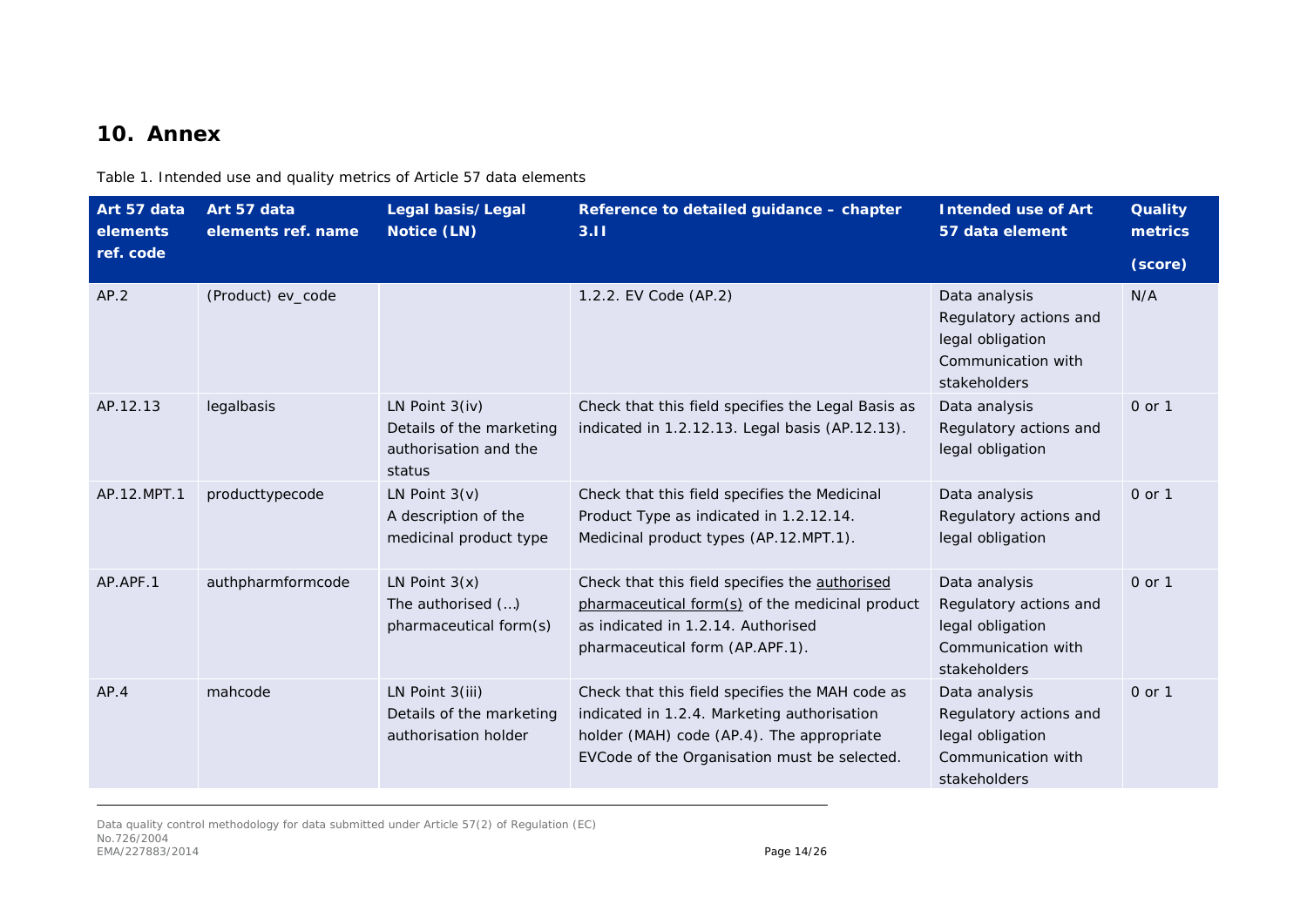### **10. Annex**

Table 1. Intended use and quality metrics of Article 57 data elements

<span id="page-13-0"></span>

| Art 57 data<br>elements | Art 57 data<br>elements ref. name | Legal basis/Legal<br>Notice (LN)                                                | Reference to detailed guidance - chapter<br>3.11                                                                                                                                            | <b>Intended use of Art</b><br>57 data element                                                     | <b>Quality</b><br>metrics |
|-------------------------|-----------------------------------|---------------------------------------------------------------------------------|---------------------------------------------------------------------------------------------------------------------------------------------------------------------------------------------|---------------------------------------------------------------------------------------------------|---------------------------|
| ref. code               |                                   |                                                                                 |                                                                                                                                                                                             |                                                                                                   | (score)                   |
| AP.2                    | (Product) ev_code                 |                                                                                 | 1.2.2. EV Code (AP.2)                                                                                                                                                                       | Data analysis<br>Regulatory actions and<br>legal obligation<br>Communication with<br>stakeholders | N/A                       |
| AP.12.13                | legalbasis                        | LN Point $3(iv)$<br>Details of the marketing<br>authorisation and the<br>status | Check that this field specifies the Legal Basis as<br>indicated in 1.2.12.13. Legal basis (AP.12.13).                                                                                       | Data analysis<br>Regulatory actions and<br>legal obligation                                       | 0 or 1                    |
| AP.12.MPT.1             | producttypecode                   | LN Point $3(v)$<br>A description of the<br>medicinal product type               | Check that this field specifies the Medicinal<br>Product Type as indicated in 1.2.12.14.<br>Medicinal product types (AP.12.MPT.1).                                                          | Data analysis<br>Regulatory actions and<br>legal obligation                                       | 0 or 1                    |
| AP.APF.1                | authpharmformcode                 | LN Point $3(x)$<br>The authorised ()<br>pharmaceutical form(s)                  | Check that this field specifies the authorised<br>pharmaceutical form(s) of the medicinal product<br>as indicated in 1.2.14. Authorised<br>pharmaceutical form (AP.APF.1).                  | Data analysis<br>Regulatory actions and<br>legal obligation<br>Communication with<br>stakeholders | 0 or 1                    |
| AP.4                    | mahcode                           | LN Point 3(iii)<br>Details of the marketing<br>authorisation holder             | Check that this field specifies the MAH code as<br>indicated in 1.2.4. Marketing authorisation<br>holder (MAH) code (AP.4). The appropriate<br>EVCode of the Organisation must be selected. | Data analysis<br>Regulatory actions and<br>legal obligation<br>Communication with<br>stakeholders | 0 or 1                    |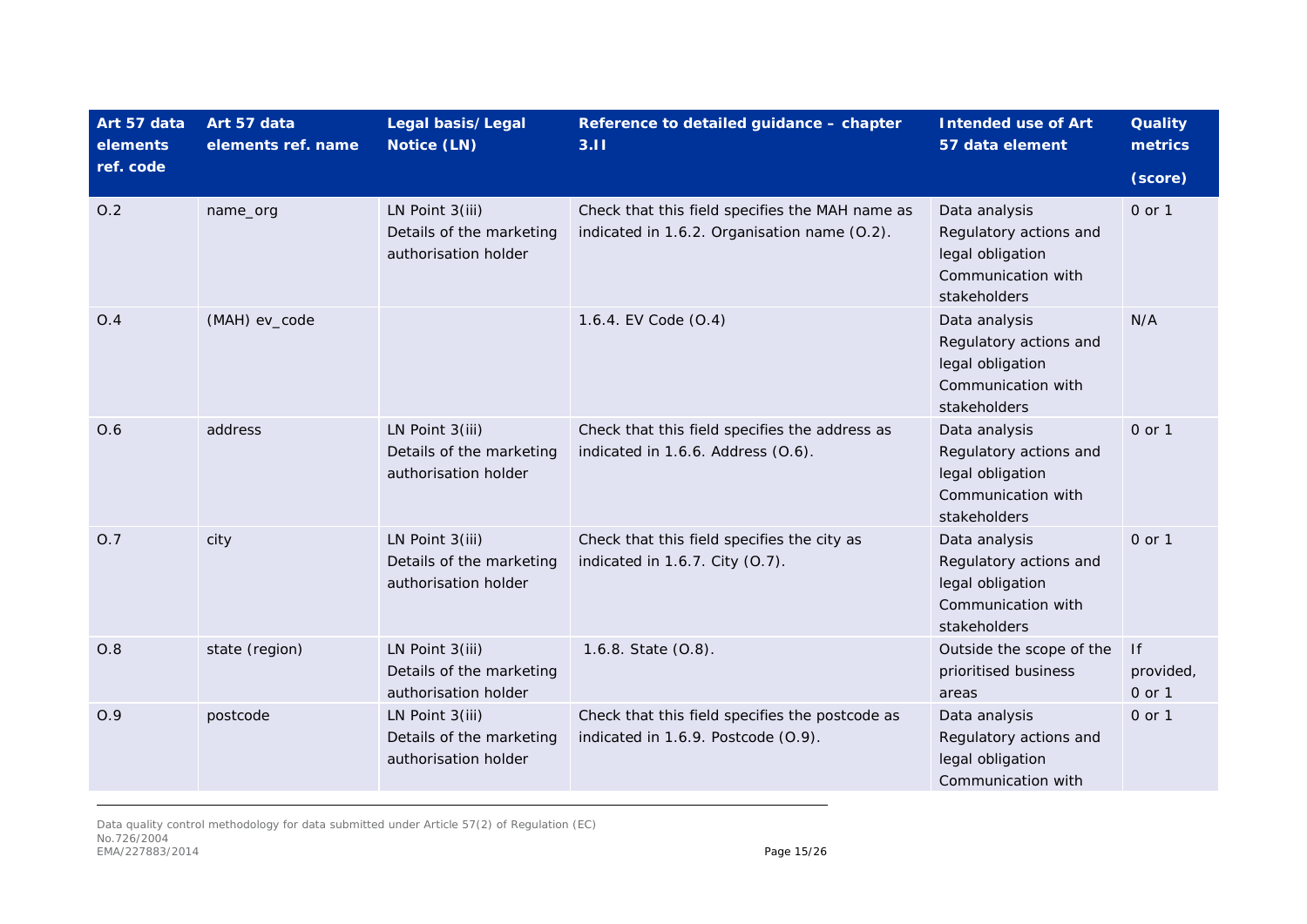| Art 57 data<br>elements | Art 57 data<br>elements ref. name | Legal basis/Legal<br>Notice (LN)                                    | Reference to detailed guidance - chapter<br>3.11                                                | <b>Intended use of Art</b><br>57 data element                                                     | <b>Quality</b><br>metrics |
|-------------------------|-----------------------------------|---------------------------------------------------------------------|-------------------------------------------------------------------------------------------------|---------------------------------------------------------------------------------------------------|---------------------------|
| ref. code               |                                   |                                                                     |                                                                                                 |                                                                                                   | (score)                   |
| O.2                     | name_org                          | LN Point 3(iii)<br>Details of the marketing<br>authorisation holder | Check that this field specifies the MAH name as<br>indicated in 1.6.2. Organisation name (0.2). | Data analysis<br>Regulatory actions and<br>legal obligation<br>Communication with<br>stakeholders | 0 or 1                    |
| O.4                     | (MAH) ev_code                     |                                                                     | 1.6.4. EV Code (0.4)                                                                            | Data analysis<br>Regulatory actions and<br>legal obligation<br>Communication with<br>stakeholders | N/A                       |
| O.6                     | address                           | LN Point 3(iii)<br>Details of the marketing<br>authorisation holder | Check that this field specifies the address as<br>indicated in 1.6.6. Address (0.6).            | Data analysis<br>Regulatory actions and<br>legal obligation<br>Communication with<br>stakeholders | $0$ or $1$                |
| O.7                     | city                              | LN Point 3(iii)<br>Details of the marketing<br>authorisation holder | Check that this field specifies the city as<br>indicated in 1.6.7. City (O.7).                  | Data analysis<br>Regulatory actions and<br>legal obligation<br>Communication with<br>stakeholders | $0$ or $1$                |
| O.8                     | state (region)                    | LN Point 3(iii)<br>Details of the marketing<br>authorisation holder | 1.6.8. State (0.8).                                                                             | Outside the scope of the<br>prioritised business<br>areas                                         | f <br>provided,<br>0 or 1 |
| O.9                     | postcode                          | LN Point 3(iii)<br>Details of the marketing<br>authorisation holder | Check that this field specifies the postcode as<br>indicated in 1.6.9. Postcode (O.9).          | Data analysis<br>Regulatory actions and<br>legal obligation<br>Communication with                 | 0 or 1                    |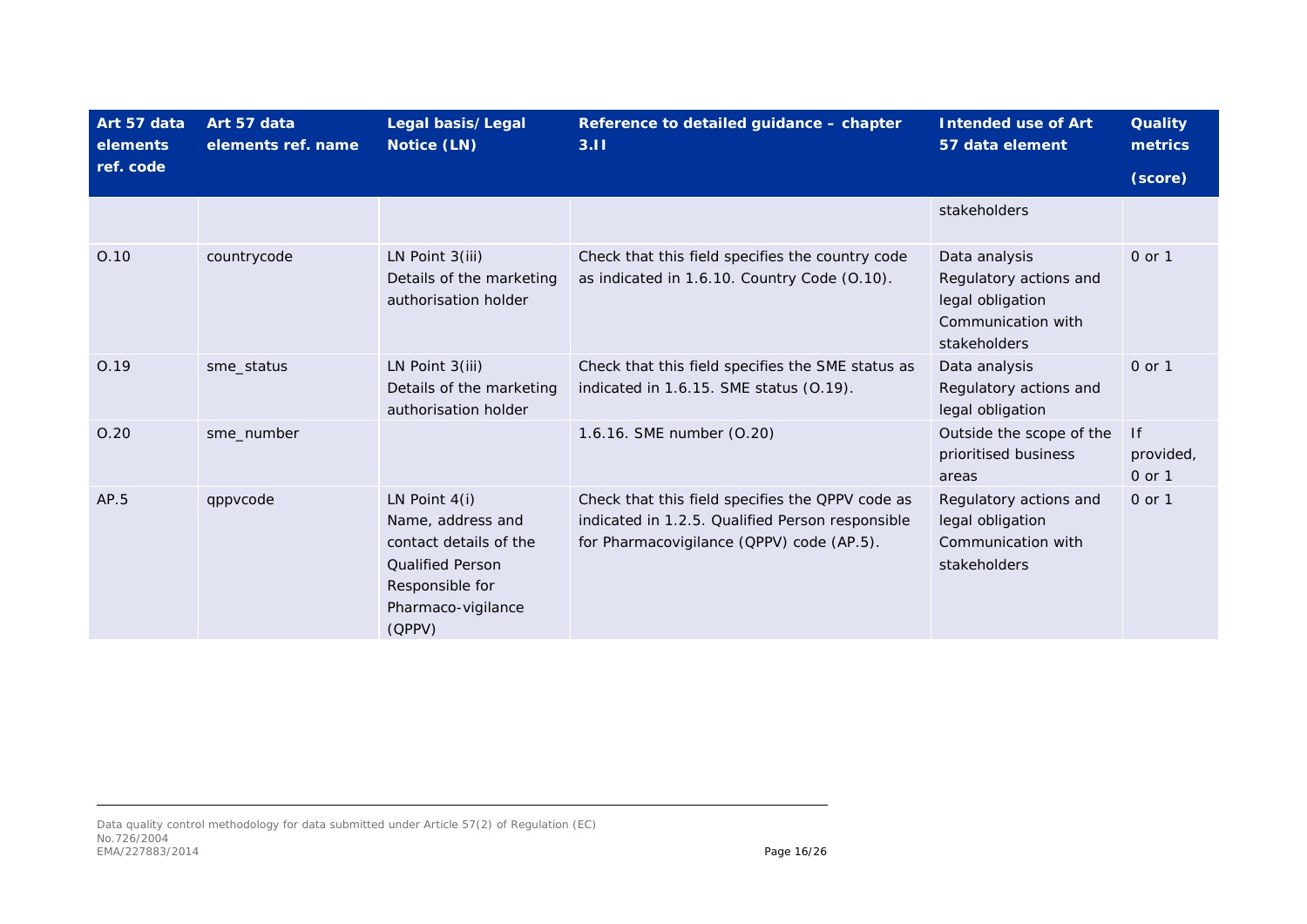| Art 57 data<br>elements | Art 57 data<br>elements ref. name | Legal basis/Legal<br>Notice (LN)                                                                                                             | Reference to detailed guidance - chapter<br>3.11                                                                                                  | <b>Intended use of Art</b><br>57 data element                                                     | <b>Quality</b><br>metrics |
|-------------------------|-----------------------------------|----------------------------------------------------------------------------------------------------------------------------------------------|---------------------------------------------------------------------------------------------------------------------------------------------------|---------------------------------------------------------------------------------------------------|---------------------------|
| ref. code               |                                   |                                                                                                                                              |                                                                                                                                                   |                                                                                                   | (score)                   |
|                         |                                   |                                                                                                                                              |                                                                                                                                                   | stakeholders                                                                                      |                           |
| O.10                    | countrycode                       | LN Point $3(iii)$<br>Details of the marketing<br>authorisation holder                                                                        | Check that this field specifies the country code<br>as indicated in 1.6.10. Country Code (0.10).                                                  | Data analysis<br>Regulatory actions and<br>legal obligation<br>Communication with<br>stakeholders | 0 or 1                    |
| 0.19                    | sme status                        | LN Point 3(iii)<br>Details of the marketing<br>authorisation holder                                                                          | Check that this field specifies the SME status as<br>indicated in 1.6.15. SME status (0.19).                                                      | Data analysis<br>Regulatory actions and<br>legal obligation                                       | 0 or 1                    |
| 0.20                    | sme_number                        |                                                                                                                                              | 1.6.16. SME number (0.20)                                                                                                                         | Outside the scope of the<br>prioritised business<br>areas                                         | f <br>provided,<br>0 or 1 |
| AP.5                    | qppvcode                          | LN Point $4(i)$<br>Name, address and<br>contact details of the<br><b>Qualified Person</b><br>Responsible for<br>Pharmaco-vigilance<br>(QPPV) | Check that this field specifies the QPPV code as<br>indicated in 1.2.5. Qualified Person responsible<br>for Pharmacovigilance (QPPV) code (AP.5). | Regulatory actions and<br>legal obligation<br>Communication with<br>stakeholders                  | 0 or 1                    |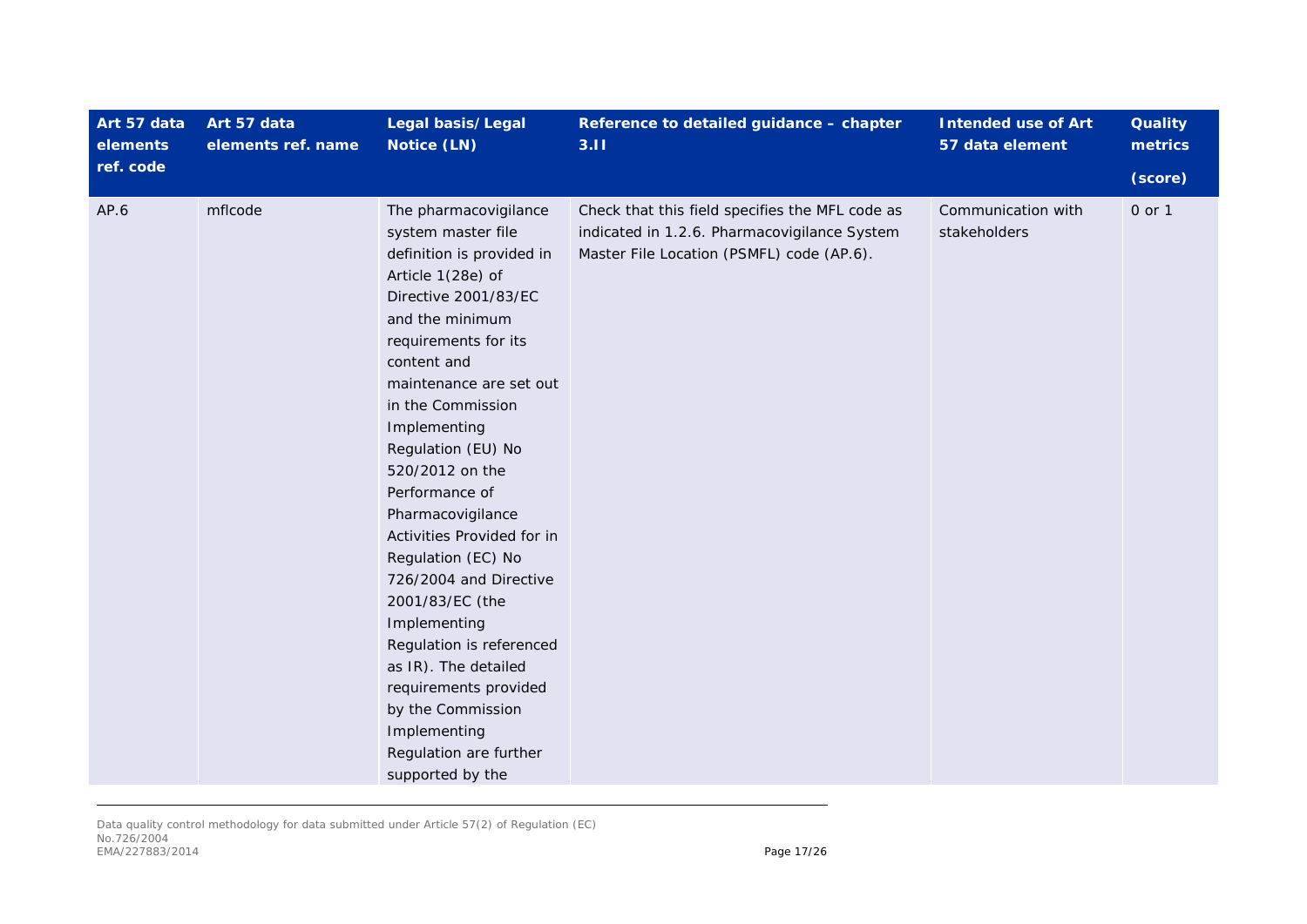| Art 57 data<br>elements | Art 57 data<br>elements ref. name | Legal basis/Legal<br>Notice (LN)                                                                                                                                                                                                                                                                                                                                                                                                                                                                                                                                                                                 | Reference to detailed guidance - chapter<br>3.11                                                                                             | <b>Intended use of Art</b><br>57 data element | <b>Quality</b><br>metrics |
|-------------------------|-----------------------------------|------------------------------------------------------------------------------------------------------------------------------------------------------------------------------------------------------------------------------------------------------------------------------------------------------------------------------------------------------------------------------------------------------------------------------------------------------------------------------------------------------------------------------------------------------------------------------------------------------------------|----------------------------------------------------------------------------------------------------------------------------------------------|-----------------------------------------------|---------------------------|
| ref. code               |                                   |                                                                                                                                                                                                                                                                                                                                                                                                                                                                                                                                                                                                                  |                                                                                                                                              |                                               | (score)                   |
| AP.6                    | mflcode                           | The pharmacovigilance<br>system master file<br>definition is provided in<br>Article 1(28e) of<br>Directive 2001/83/EC<br>and the minimum<br>requirements for its<br>content and<br>maintenance are set out<br>in the Commission<br>Implementing<br>Regulation (EU) No<br>520/2012 on the<br>Performance of<br>Pharmacovigilance<br>Activities Provided for in<br>Regulation (EC) No<br>726/2004 and Directive<br>2001/83/EC (the<br>Implementing<br>Regulation is referenced<br>as IR). The detailed<br>requirements provided<br>by the Commission<br>Implementing<br>Regulation are further<br>supported by the | Check that this field specifies the MFL code as<br>indicated in 1.2.6. Pharmacovigilance System<br>Master File Location (PSMFL) code (AP.6). | Communication with<br>stakeholders            | 0 or 1                    |

Data quality control methodology for data submitted under Article 57(2) of Regulation (EC) No.726/2004 EMA/227883/2014 **Page 17/26**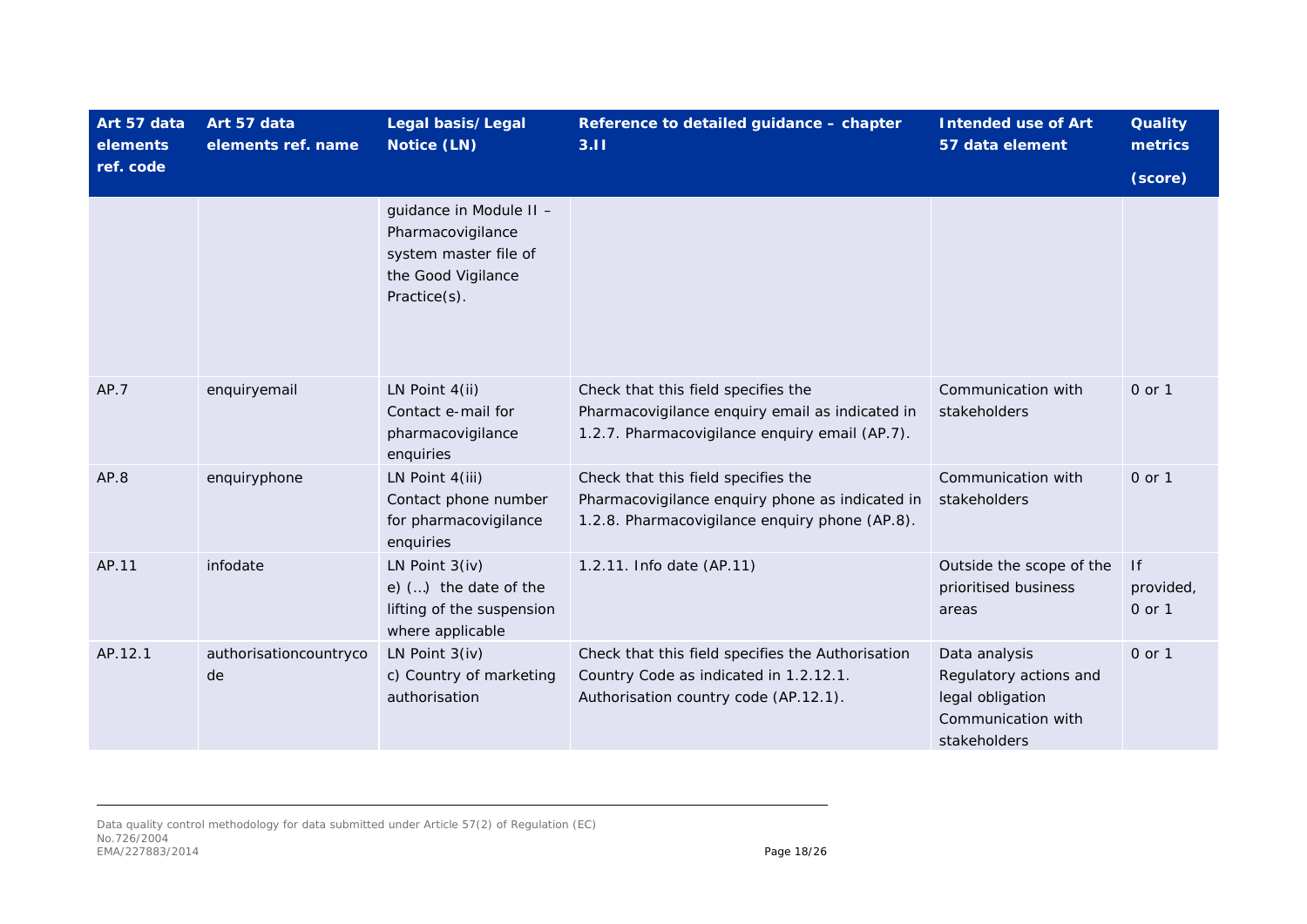| Art 57 data<br>elements | Art 57 data<br>elements ref. name | Legal basis/Legal<br>Notice (LN)                                                                            | Reference to detailed guidance - chapter<br>3.11                                                                                         | <b>Intended use of Art</b><br>57 data element                                                     | <b>Quality</b><br>metrics |
|-------------------------|-----------------------------------|-------------------------------------------------------------------------------------------------------------|------------------------------------------------------------------------------------------------------------------------------------------|---------------------------------------------------------------------------------------------------|---------------------------|
| ref. code               |                                   |                                                                                                             |                                                                                                                                          |                                                                                                   | (score)                   |
|                         |                                   | guidance in Module II -<br>Pharmacovigilance<br>system master file of<br>the Good Vigilance<br>Practice(s). |                                                                                                                                          |                                                                                                   |                           |
| AP.7                    | enquiryemail                      | LN Point 4(ii)<br>Contact e-mail for<br>pharmacovigilance<br>enquiries                                      | Check that this field specifies the<br>Pharmacovigilance enquiry email as indicated in<br>1.2.7. Pharmacovigilance enquiry email (AP.7). | Communication with<br>stakeholders                                                                | $0$ or $1$                |
| AP.8                    | enquiryphone                      | LN Point 4(iii)<br>Contact phone number<br>for pharmacovigilance<br>enquiries                               | Check that this field specifies the<br>Pharmacovigilance enquiry phone as indicated in<br>1.2.8. Pharmacovigilance enquiry phone (AP.8). | Communication with<br>stakeholders                                                                | 0 or 1                    |
| AP.11                   | infodate                          | LN Point $3(iv)$<br>e) $()$ the date of the<br>lifting of the suspension<br>where applicable                | 1.2.11. Info date (AP.11)                                                                                                                | Outside the scope of the<br>prioritised business<br>areas                                         | f <br>provided,<br>0 or 1 |
| AP.12.1                 | authorisationcountryco<br>de      | LN Point $3(iv)$<br>c) Country of marketing<br>authorisation                                                | Check that this field specifies the Authorisation<br>Country Code as indicated in 1.2.12.1.<br>Authorisation country code (AP.12.1).     | Data analysis<br>Regulatory actions and<br>legal obligation<br>Communication with<br>stakeholders | 0 or 1                    |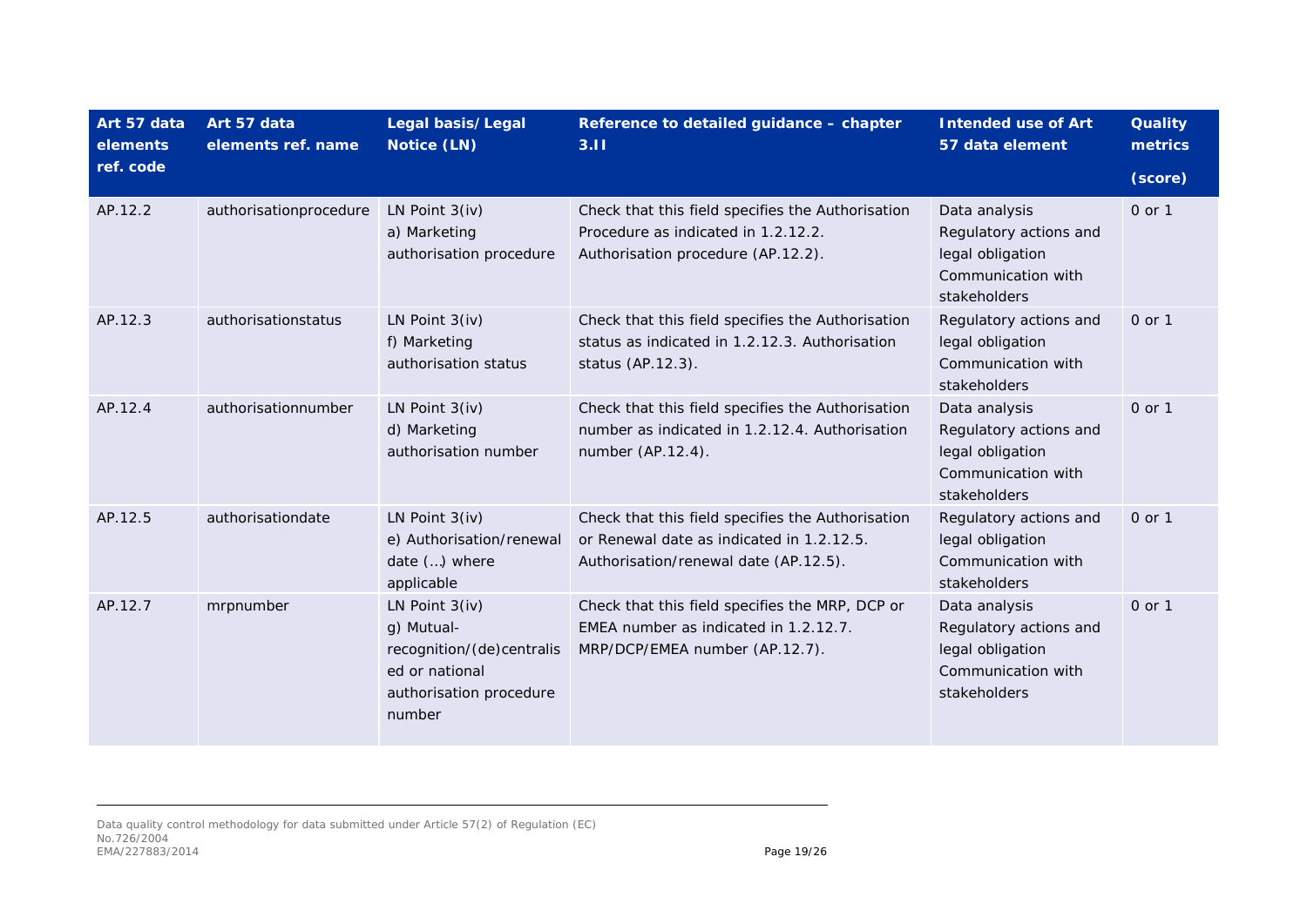| Art 57 data<br>elements | Art 57 data<br>elements ref. name | Legal basis/Legal<br>Notice (LN)                                                                                   | Reference to detailed guidance - chapter<br>3.11                                                                                        | <b>Intended use of Art</b><br>57 data element                                                     | <b>Quality</b><br>metrics |
|-------------------------|-----------------------------------|--------------------------------------------------------------------------------------------------------------------|-----------------------------------------------------------------------------------------------------------------------------------------|---------------------------------------------------------------------------------------------------|---------------------------|
| ref. code               |                                   |                                                                                                                    |                                                                                                                                         |                                                                                                   | (score)                   |
| AP.12.2                 | authorisationprocedure            | LN Point $3(iv)$<br>a) Marketing<br>authorisation procedure                                                        | Check that this field specifies the Authorisation<br>Procedure as indicated in 1.2.12.2.<br>Authorisation procedure (AP.12.2).          | Data analysis<br>Regulatory actions and<br>legal obligation<br>Communication with<br>stakeholders | 0 or 1                    |
| AP.12.3                 | authorisationstatus               | LN Point $3(iv)$<br>f) Marketing<br>authorisation status                                                           | Check that this field specifies the Authorisation<br>status as indicated in 1.2.12.3. Authorisation<br>status (AP.12.3).                | Regulatory actions and<br>legal obligation<br>Communication with<br>stakeholders                  | 0 or 1                    |
| AP.12.4                 | authorisationnumber               | LN Point $3(iv)$<br>d) Marketing<br>authorisation number                                                           | Check that this field specifies the Authorisation<br>number as indicated in 1.2.12.4. Authorisation<br>number (AP.12.4).                | Data analysis<br>Regulatory actions and<br>legal obligation<br>Communication with<br>stakeholders | 0 or 1                    |
| AP.12.5                 | authorisationdate                 | LN Point $3(iv)$<br>e) Authorisation/renewal<br>date () where<br>applicable                                        | Check that this field specifies the Authorisation<br>or Renewal date as indicated in 1.2.12.5.<br>Authorisation/renewal date (AP.12.5). | Regulatory actions and<br>legal obligation<br>Communication with<br>stakeholders                  | 0 or 1                    |
| AP.12.7                 | mrpnumber                         | LN Point $3(iv)$<br>g) Mutual-<br>recognition/(de)centralis<br>ed or national<br>authorisation procedure<br>number | Check that this field specifies the MRP, DCP or<br>EMEA number as indicated in 1.2.12.7.<br>MRP/DCP/EMEA number (AP.12.7).              | Data analysis<br>Regulatory actions and<br>legal obligation<br>Communication with<br>stakeholders | 0 or 1                    |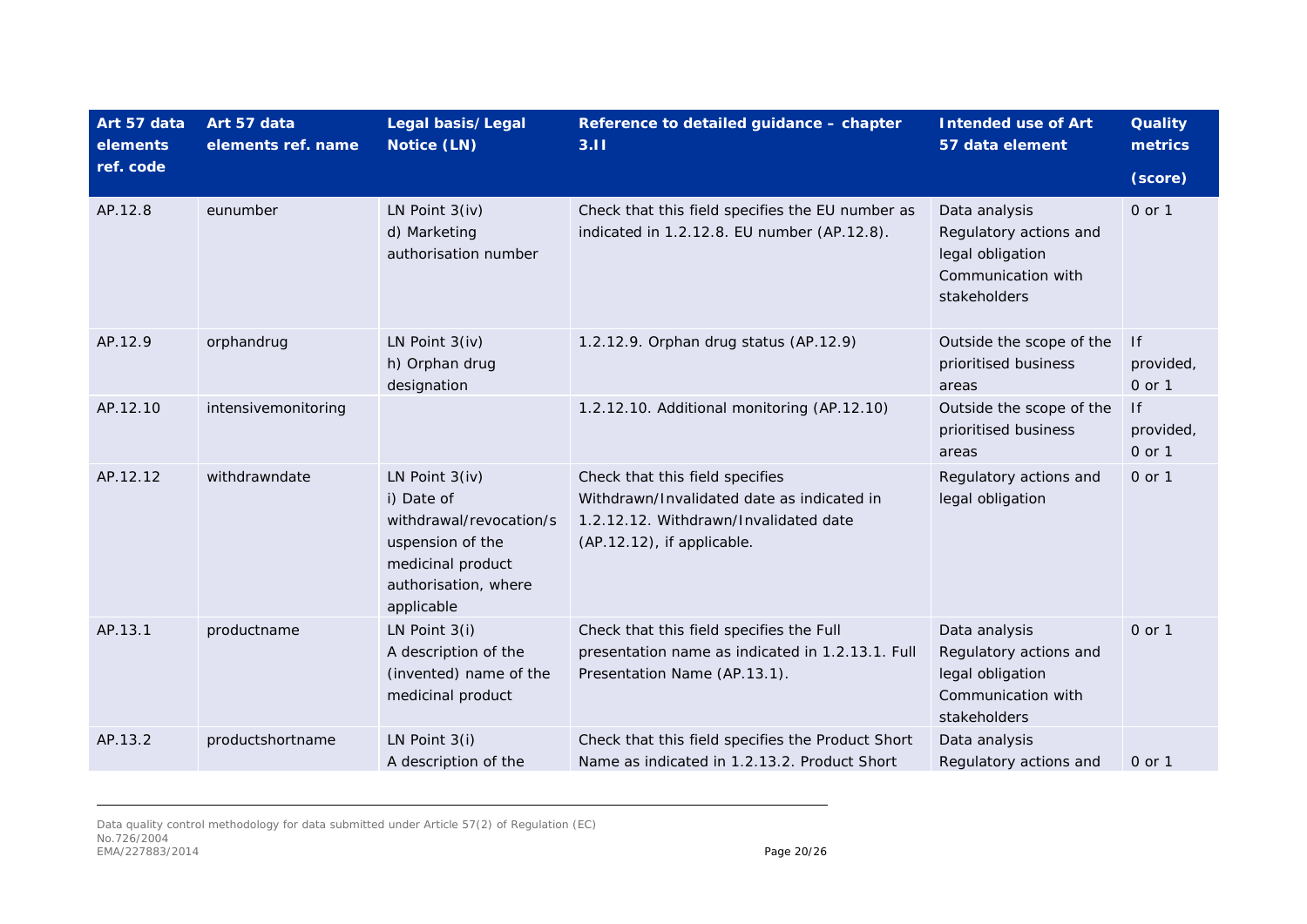| Art 57 data<br>elements | Art 57 data<br>elements ref. name | Legal basis/Legal<br>Notice (LN)                                                                                                       | Reference to detailed guidance - chapter<br>3.11                                                                                                     | <b>Intended use of Art</b><br>57 data element                                                     | <b>Quality</b><br>metrics |
|-------------------------|-----------------------------------|----------------------------------------------------------------------------------------------------------------------------------------|------------------------------------------------------------------------------------------------------------------------------------------------------|---------------------------------------------------------------------------------------------------|---------------------------|
| ref. code               |                                   |                                                                                                                                        |                                                                                                                                                      |                                                                                                   | (score)                   |
| AP.12.8                 | eunumber                          | LN Point $3(iv)$<br>d) Marketing<br>authorisation number                                                                               | Check that this field specifies the EU number as<br>indicated in 1.2.12.8. EU number (AP.12.8).                                                      | Data analysis<br>Regulatory actions and<br>legal obligation<br>Communication with<br>stakeholders | 0 or 1                    |
| AP.12.9                 | orphandrug                        | LN Point $3(iv)$<br>h) Orphan drug<br>designation                                                                                      | 1.2.12.9. Orphan drug status (AP.12.9)                                                                                                               | Outside the scope of the<br>prioritised business<br>areas                                         | f <br>provided,<br>0 or 1 |
| AP.12.10                | intensivemonitoring               |                                                                                                                                        | 1.2.12.10. Additional monitoring (AP.12.10)                                                                                                          | Outside the scope of the<br>prioritised business<br>areas                                         | f <br>provided,<br>0 or 1 |
| AP.12.12                | withdrawndate                     | LN Point 3(iv)<br>i) Date of<br>withdrawal/revocation/s<br>uspension of the<br>medicinal product<br>authorisation, where<br>applicable | Check that this field specifies<br>Withdrawn/Invalidated date as indicated in<br>1.2.12.12. Withdrawn/Invalidated date<br>(AP.12.12), if applicable. | Regulatory actions and<br>legal obligation                                                        | 0 or 1                    |
| AP.13.1                 | productname                       | LN Point $3(i)$<br>A description of the<br>(invented) name of the<br>medicinal product                                                 | Check that this field specifies the Full<br>presentation name as indicated in 1.2.13.1. Full<br>Presentation Name (AP.13.1).                         | Data analysis<br>Regulatory actions and<br>legal obligation<br>Communication with<br>stakeholders | 0 or 1                    |
| AP.13.2                 | productshortname                  | LN Point $3(i)$<br>A description of the                                                                                                | Check that this field specifies the Product Short<br>Name as indicated in 1.2.13.2. Product Short                                                    | Data analysis<br>Regulatory actions and                                                           | $0$ or $1$                |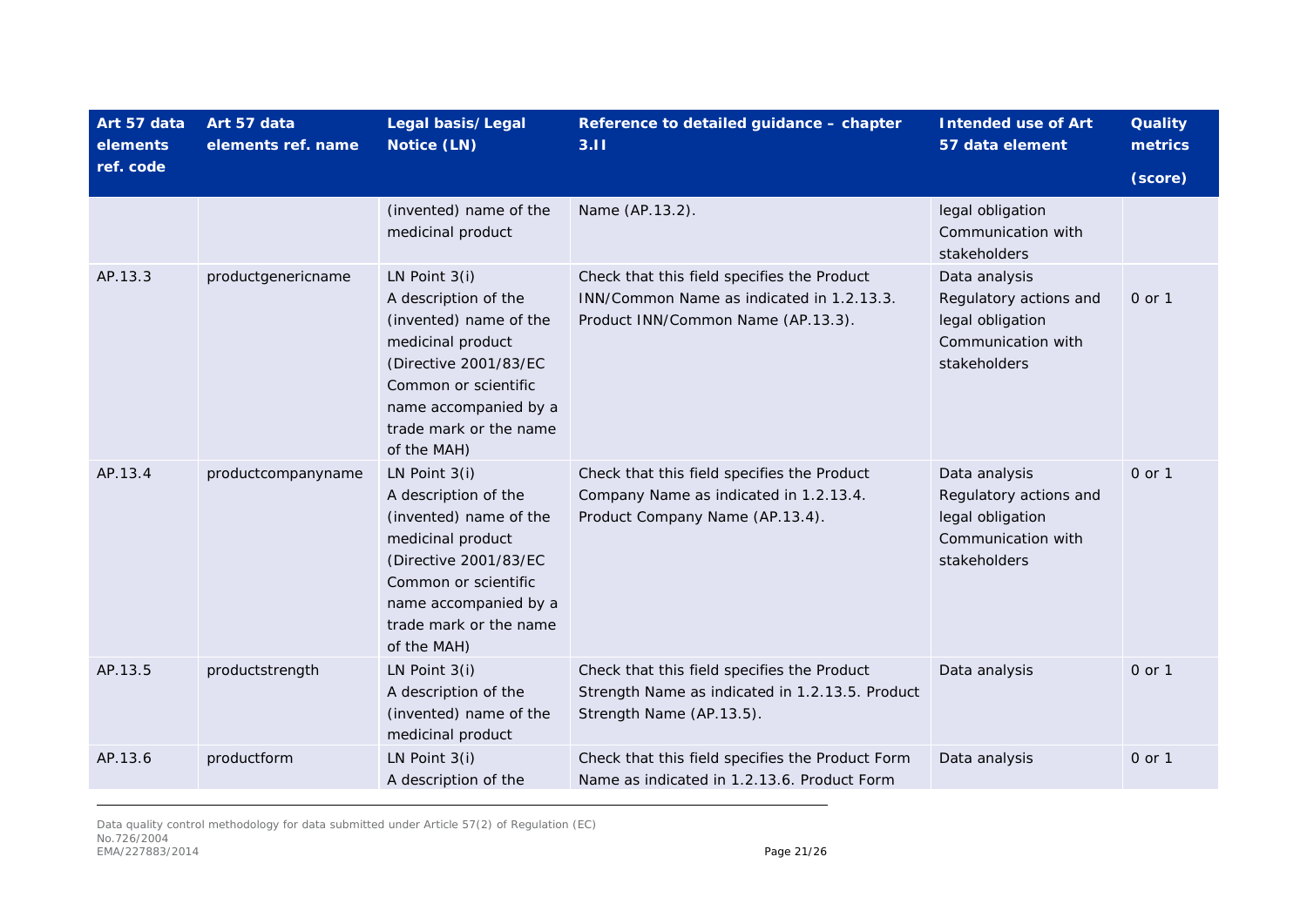| Art 57 data<br>elements | Art 57 data<br>elements ref. name | Legal basis/Legal<br>Notice (LN)                                                                                                                                                                          | Reference to detailed guidance - chapter<br>3.11                                                                               | <b>Intended use of Art</b><br>57 data element                                                     | <b>Quality</b><br>metrics |
|-------------------------|-----------------------------------|-----------------------------------------------------------------------------------------------------------------------------------------------------------------------------------------------------------|--------------------------------------------------------------------------------------------------------------------------------|---------------------------------------------------------------------------------------------------|---------------------------|
| ref. code               |                                   |                                                                                                                                                                                                           |                                                                                                                                |                                                                                                   | (score)                   |
|                         |                                   | (invented) name of the<br>medicinal product                                                                                                                                                               | Name (AP.13.2).                                                                                                                | legal obligation<br>Communication with<br>stakeholders                                            |                           |
| AP.13.3                 | productgenericname                | LN Point 3(i)<br>A description of the<br>(invented) name of the<br>medicinal product<br>(Directive 2001/83/EC<br>Common or scientific<br>name accompanied by a<br>trade mark or the name<br>of the MAH)   | Check that this field specifies the Product<br>INN/Common Name as indicated in 1.2.13.3.<br>Product INN/Common Name (AP.13.3). | Data analysis<br>Regulatory actions and<br>legal obligation<br>Communication with<br>stakeholders | 0 or 1                    |
| AP.13.4                 | productcompanyname                | LN Point $3(i)$<br>A description of the<br>(invented) name of the<br>medicinal product<br>(Directive 2001/83/EC<br>Common or scientific<br>name accompanied by a<br>trade mark or the name<br>of the MAH) | Check that this field specifies the Product<br>Company Name as indicated in 1.2.13.4.<br>Product Company Name (AP.13.4).       | Data analysis<br>Regulatory actions and<br>legal obligation<br>Communication with<br>stakeholders | 0 or 1                    |
| AP.13.5                 | productstrength                   | LN Point $3(i)$<br>A description of the<br>(invented) name of the<br>medicinal product                                                                                                                    | Check that this field specifies the Product<br>Strength Name as indicated in 1.2.13.5. Product<br>Strength Name (AP.13.5).     | Data analysis                                                                                     | 0 or 1                    |
| AP.13.6                 | productform                       | LN Point $3(i)$<br>A description of the                                                                                                                                                                   | Check that this field specifies the Product Form<br>Name as indicated in 1.2.13.6. Product Form                                | Data analysis                                                                                     | 0 or 1                    |

Data quality control methodology for data submitted under Article 57(2) of Regulation (EC) No.726/2004 EMA/227883/2014 **Page 21/26**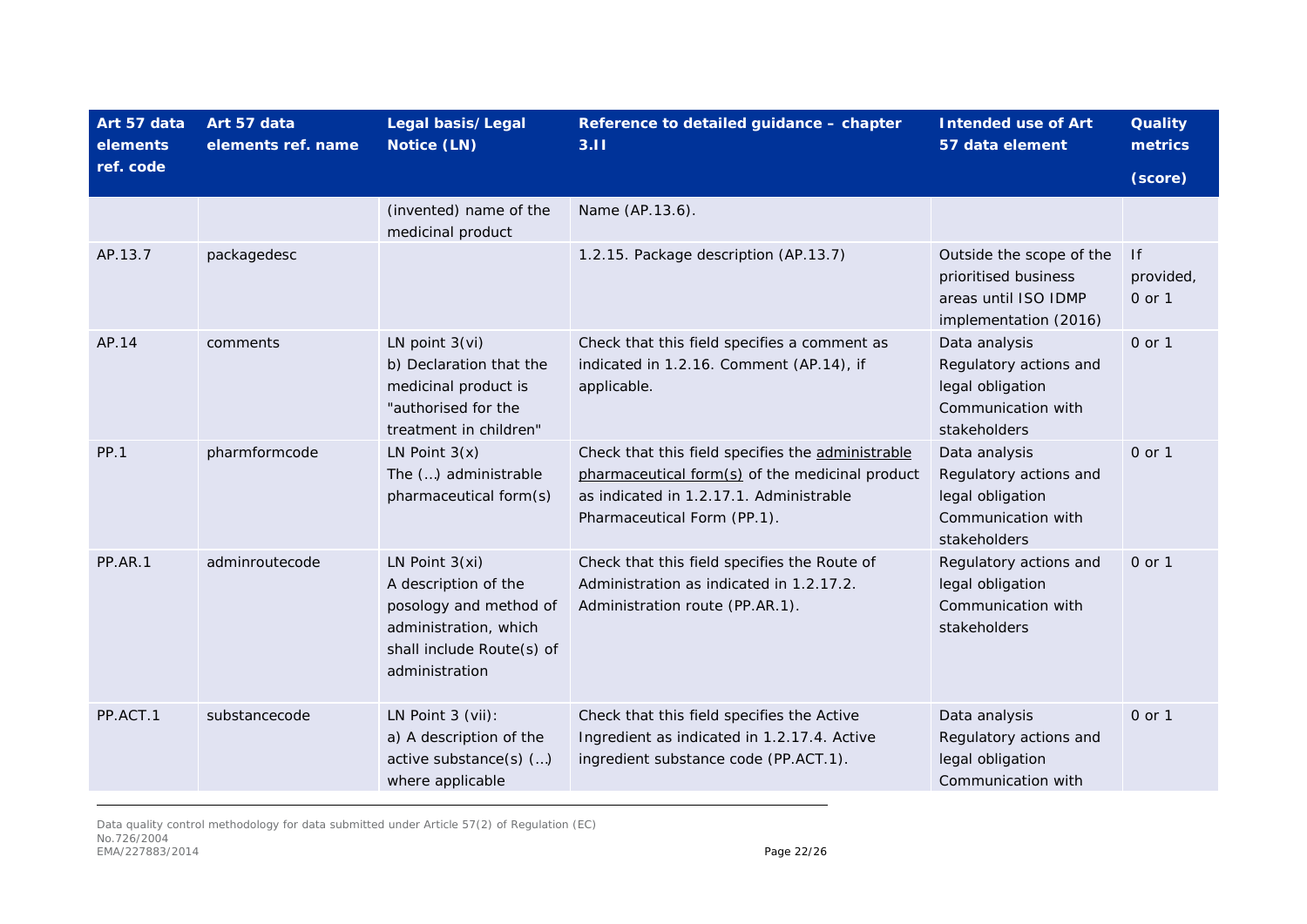| Art 57 data<br>elements | Art 57 data<br>elements ref. name | Legal basis/Legal<br>Notice (LN)                                                                                                           | Reference to detailed guidance - chapter<br>3.11                                                                                                                               | <b>Intended use of Art</b><br>57 data element                                                     | <b>Quality</b><br>metrics |
|-------------------------|-----------------------------------|--------------------------------------------------------------------------------------------------------------------------------------------|--------------------------------------------------------------------------------------------------------------------------------------------------------------------------------|---------------------------------------------------------------------------------------------------|---------------------------|
| ref. code               |                                   |                                                                                                                                            |                                                                                                                                                                                |                                                                                                   | (score)                   |
|                         |                                   | (invented) name of the<br>medicinal product                                                                                                | Name (AP.13.6).                                                                                                                                                                |                                                                                                   |                           |
| AP.13.7                 | packagedesc                       |                                                                                                                                            | 1.2.15. Package description (AP.13.7)                                                                                                                                          | Outside the scope of the<br>prioritised business<br>areas until ISO IDMP<br>implementation (2016) | f <br>provided,<br>0 or 1 |
| AP.14                   | comments                          | LN point $3(vi)$<br>b) Declaration that the<br>medicinal product is<br>"authorised for the<br>treatment in children"                       | Check that this field specifies a comment as<br>indicated in 1.2.16. Comment (AP.14), if<br>applicable.                                                                        | Data analysis<br>Regulatory actions and<br>legal obligation<br>Communication with<br>stakeholders | 0 or 1                    |
| <b>PP.1</b>             | pharmformcode                     | LN Point $3(x)$<br>The () administrable<br>pharmaceutical form(s)                                                                          | Check that this field specifies the administrable<br>pharmaceutical form(s) of the medicinal product<br>as indicated in 1.2.17.1. Administrable<br>Pharmaceutical Form (PP.1). | Data analysis<br>Regulatory actions and<br>legal obligation<br>Communication with<br>stakeholders | 0 or 1                    |
| PP.AR.1                 | adminroutecode                    | LN Point $3(xi)$<br>A description of the<br>posology and method of<br>administration, which<br>shall include Route(s) of<br>administration | Check that this field specifies the Route of<br>Administration as indicated in 1.2.17.2.<br>Administration route (PP.AR.1).                                                    | Regulatory actions and<br>legal obligation<br>Communication with<br>stakeholders                  | 0 or 1                    |
| PP.ACT.1                | substancecode                     | LN Point 3 (vii):<br>a) A description of the<br>active substance(s) ()<br>where applicable                                                 | Check that this field specifies the Active<br>Ingredient as indicated in 1.2.17.4. Active<br>ingredient substance code (PP.ACT.1).                                             | Data analysis<br>Regulatory actions and<br>legal obligation<br>Communication with                 | 0 or 1                    |

Data quality control methodology for data submitted under Article 57(2) of Regulation (EC) No.726/2004 EMA/227883/2014 **Page 22/26**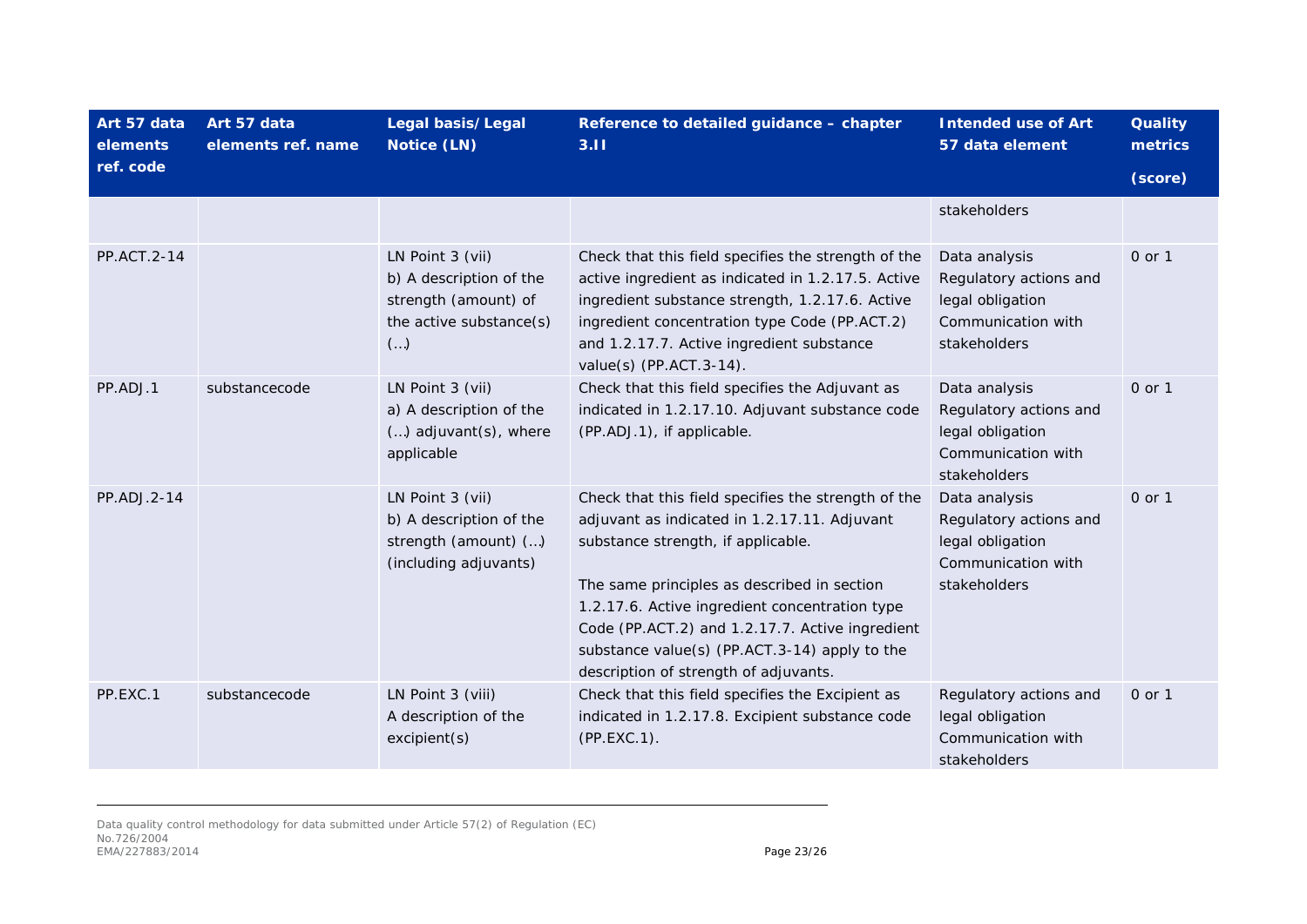| Art 57 data<br>elements | Art 57 data<br>elements ref. name | Legal basis/Legal<br>Notice (LN)                                                                             | Reference to detailed guidance - chapter<br>3.11                                                                                                                                                                                                                                                                                                                                        | <b>Intended use of Art</b><br>57 data element                                                     | <b>Quality</b><br>metrics |
|-------------------------|-----------------------------------|--------------------------------------------------------------------------------------------------------------|-----------------------------------------------------------------------------------------------------------------------------------------------------------------------------------------------------------------------------------------------------------------------------------------------------------------------------------------------------------------------------------------|---------------------------------------------------------------------------------------------------|---------------------------|
| ref. code               |                                   |                                                                                                              |                                                                                                                                                                                                                                                                                                                                                                                         |                                                                                                   | (score)                   |
|                         |                                   |                                                                                                              |                                                                                                                                                                                                                                                                                                                                                                                         | stakeholders                                                                                      |                           |
| PP.ACT.2-14             |                                   | LN Point 3 (vii)<br>b) A description of the<br>strength (amount) of<br>the active substance(s)<br>$(\ldots)$ | Check that this field specifies the strength of the<br>active ingredient as indicated in 1.2.17.5. Active<br>ingredient substance strength, 1.2.17.6. Active<br>ingredient concentration type Code (PP.ACT.2)<br>and 1.2.17.7. Active ingredient substance<br>value(s) (PP.ACT.3-14).                                                                                                   | Data analysis<br>Regulatory actions and<br>legal obligation<br>Communication with<br>stakeholders | 0 or 1                    |
| PP.ADJ.1                | substancecode                     | LN Point 3 (vii)<br>a) A description of the<br>() adjuvant(s), where<br>applicable                           | Check that this field specifies the Adjuvant as<br>indicated in 1.2.17.10. Adjuvant substance code<br>(PP.ADJ.1), if applicable.                                                                                                                                                                                                                                                        | Data analysis<br>Regulatory actions and<br>legal obligation<br>Communication with<br>stakeholders | $0$ or $1$                |
| PP.ADJ.2-14             |                                   | LN Point 3 (vii)<br>b) A description of the<br>strength (amount) ()<br>(including adjuvants)                 | Check that this field specifies the strength of the<br>adjuvant as indicated in 1.2.17.11. Adjuvant<br>substance strength, if applicable.<br>The same principles as described in section<br>1.2.17.6. Active ingredient concentration type<br>Code (PP.ACT.2) and 1.2.17.7. Active ingredient<br>substance value(s) (PP.ACT.3-14) apply to the<br>description of strength of adjuvants. | Data analysis<br>Regulatory actions and<br>legal obligation<br>Communication with<br>stakeholders | 0 or 1                    |
| PP.EXC.1                | substancecode                     | LN Point 3 (viii)<br>A description of the<br>excipient(s)                                                    | Check that this field specifies the Excipient as<br>indicated in 1.2.17.8. Excipient substance code<br>$(PP.EXC.1)$ .                                                                                                                                                                                                                                                                   | Regulatory actions and<br>legal obligation<br>Communication with<br>stakeholders                  | 0 or 1                    |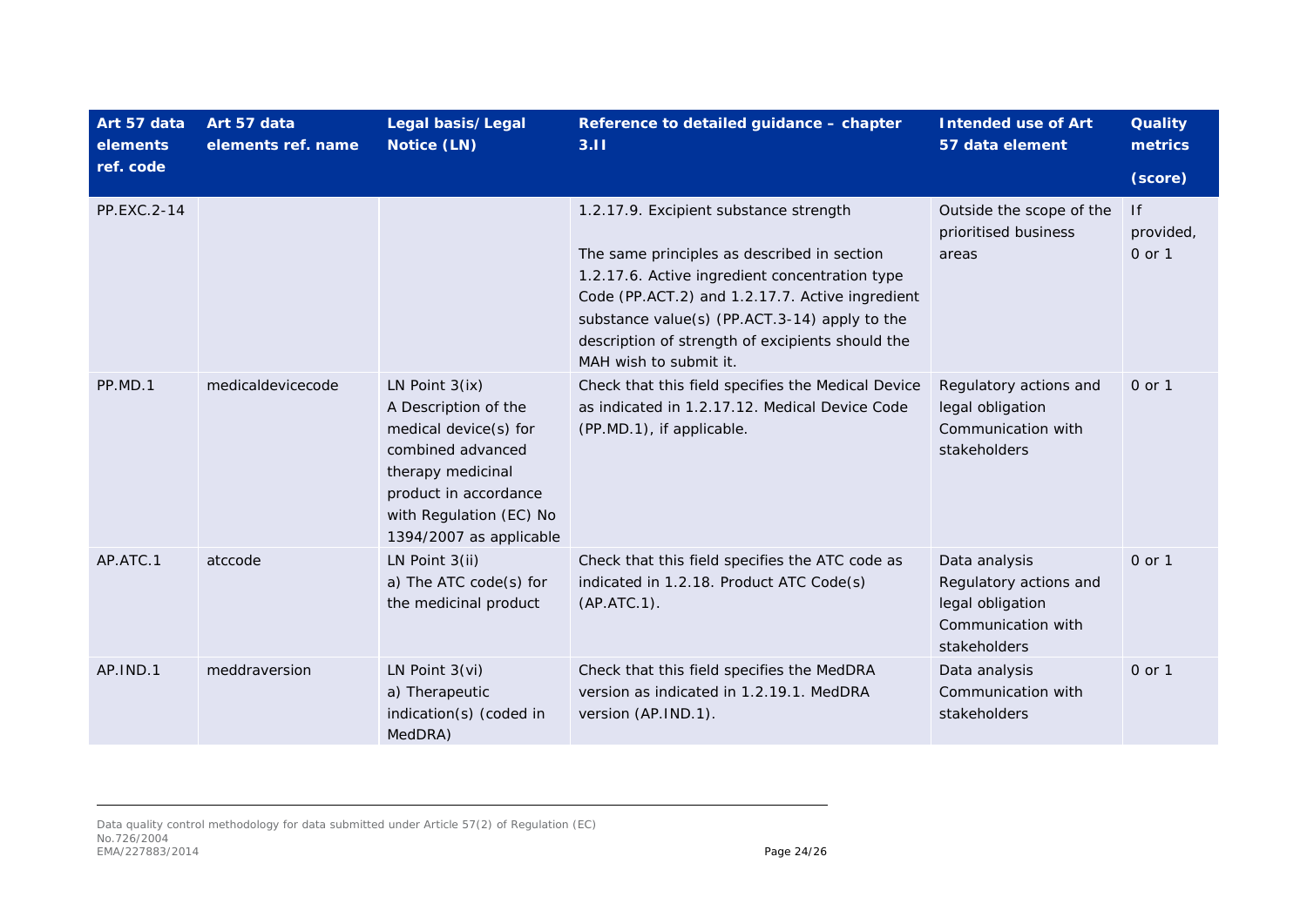| Art 57 data<br>elements | Art 57 data<br>elements ref. name | Legal basis/Legal<br>Notice (LN)                                                                                                                                                           | Reference to detailed guidance - chapter<br>3.11                                                                                                                                                                                                                                                                          | <b>Intended use of Art</b><br>57 data element                                                     | <b>Quality</b><br>metrics |
|-------------------------|-----------------------------------|--------------------------------------------------------------------------------------------------------------------------------------------------------------------------------------------|---------------------------------------------------------------------------------------------------------------------------------------------------------------------------------------------------------------------------------------------------------------------------------------------------------------------------|---------------------------------------------------------------------------------------------------|---------------------------|
| ref. code               |                                   |                                                                                                                                                                                            |                                                                                                                                                                                                                                                                                                                           |                                                                                                   | (score)                   |
| PP.EXC.2-14             |                                   |                                                                                                                                                                                            | 1.2.17.9. Excipient substance strength<br>The same principles as described in section<br>1.2.17.6. Active ingredient concentration type<br>Code (PP.ACT.2) and 1.2.17.7. Active ingredient<br>substance value(s) (PP.ACT.3-14) apply to the<br>description of strength of excipients should the<br>MAH wish to submit it. | Outside the scope of the<br>prioritised business<br>areas                                         | f <br>provided,<br>0 or 1 |
| PP.MD.1                 | medicaldevicecode                 | LN Point $3(ix)$<br>A Description of the<br>medical device(s) for<br>combined advanced<br>therapy medicinal<br>product in accordance<br>with Regulation (EC) No<br>1394/2007 as applicable | Check that this field specifies the Medical Device<br>as indicated in 1.2.17.12. Medical Device Code<br>(PP.MD.1), if applicable.                                                                                                                                                                                         | Regulatory actions and<br>legal obligation<br>Communication with<br>stakeholders                  | 0 or 1                    |
| AP.ATC.1                | atccode                           | LN Point 3(ii)<br>a) The ATC code(s) for<br>the medicinal product                                                                                                                          | Check that this field specifies the ATC code as<br>indicated in 1.2.18. Product ATC Code(s)<br>(AP. ATC.1).                                                                                                                                                                                                               | Data analysis<br>Regulatory actions and<br>legal obligation<br>Communication with<br>stakeholders | 0 or 1                    |
| AP.IND.1                | meddraversion                     | LN Point $3(vi)$<br>a) Therapeutic<br>indication(s) (coded in<br>MedDRA)                                                                                                                   | Check that this field specifies the MedDRA<br>version as indicated in 1.2.19.1. MedDRA<br>version (AP.IND.1).                                                                                                                                                                                                             | Data analysis<br>Communication with<br>stakeholders                                               | $0$ or $1$                |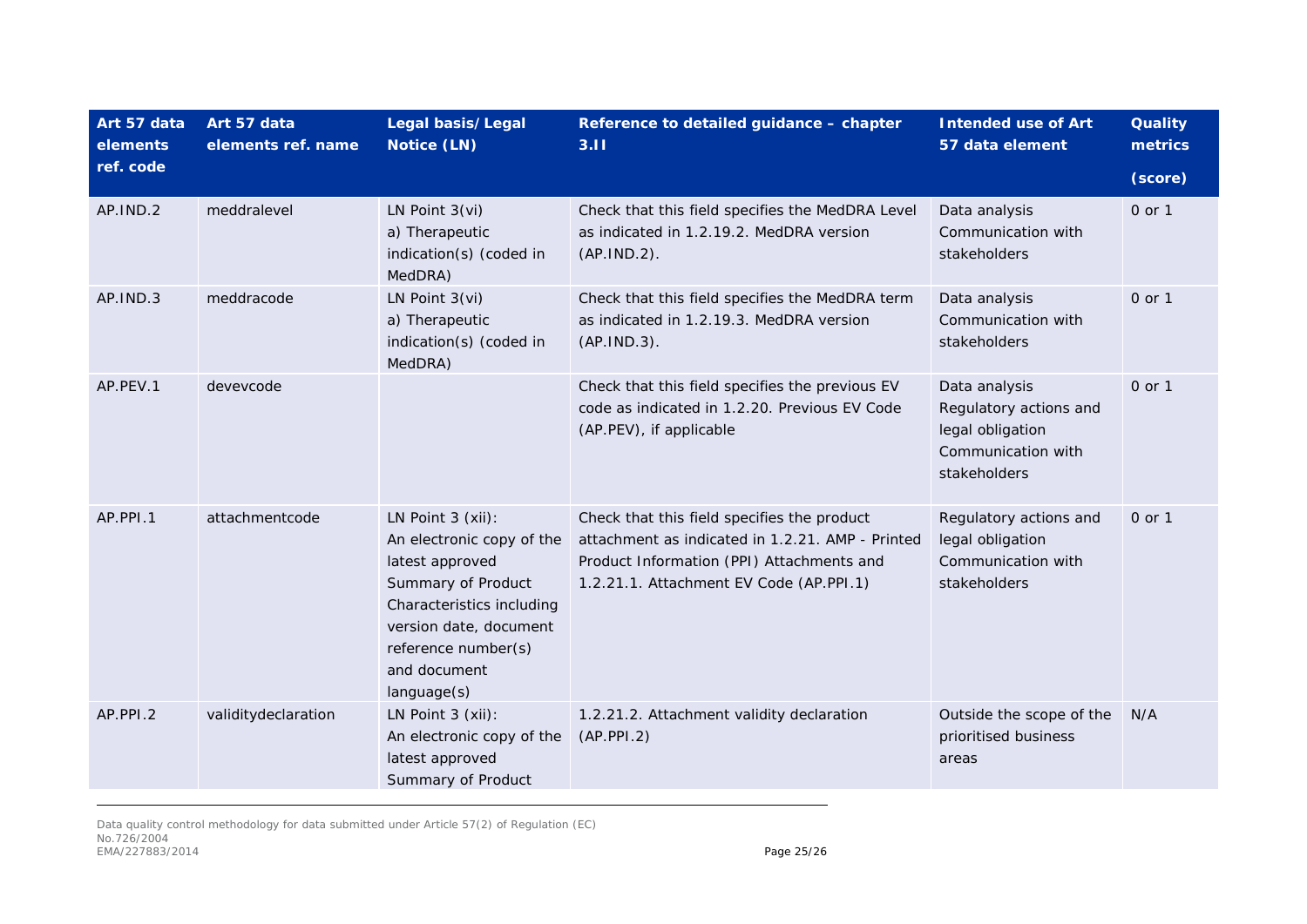| Art 57 data<br>elements | Art 57 data<br>elements ref. name | Legal basis/Legal<br>Notice (LN)                                                                                                                                                                     | Reference to detailed guidance - chapter<br>3.11                                                                                                                                        | <b>Intended use of Art</b><br>57 data element                                                     | <b>Quality</b><br>metrics |
|-------------------------|-----------------------------------|------------------------------------------------------------------------------------------------------------------------------------------------------------------------------------------------------|-----------------------------------------------------------------------------------------------------------------------------------------------------------------------------------------|---------------------------------------------------------------------------------------------------|---------------------------|
| ref. code               |                                   |                                                                                                                                                                                                      |                                                                                                                                                                                         |                                                                                                   | (score)                   |
| AP.IND.2                | meddralevel                       | LN Point $3(vi)$<br>a) Therapeutic<br>indication(s) (coded in<br>MedDRA)                                                                                                                             | Check that this field specifies the MedDRA Level<br>as indicated in 1.2.19.2. MedDRA version<br>(AP.IND.2).                                                                             | Data analysis<br>Communication with<br>stakeholders                                               | 0 or 1                    |
| AP.IND.3                | meddracode                        | LN Point $3(vi)$<br>a) Therapeutic<br>indication(s) (coded in<br>MedDRA)                                                                                                                             | Check that this field specifies the MedDRA term<br>as indicated in 1.2.19.3. MedDRA version<br>(AP.IND.3).                                                                              | Data analysis<br>Communication with<br>stakeholders                                               | 0 or 1                    |
| AP.PEV.1                | devevcode                         |                                                                                                                                                                                                      | Check that this field specifies the previous EV<br>code as indicated in 1.2.20. Previous EV Code<br>(AP.PEV), if applicable                                                             | Data analysis<br>Regulatory actions and<br>legal obligation<br>Communication with<br>stakeholders | 0 or 1                    |
| AP.PPI.1                | attachmentcode                    | LN Point 3 (xii):<br>An electronic copy of the<br>latest approved<br>Summary of Product<br>Characteristics including<br>version date, document<br>reference number(s)<br>and document<br>language(s) | Check that this field specifies the product<br>attachment as indicated in 1.2.21. AMP - Printed<br>Product Information (PPI) Attachments and<br>1.2.21.1. Attachment EV Code (AP.PPI.1) | Regulatory actions and<br>legal obligation<br>Communication with<br>stakeholders                  | 0 or 1                    |
| AP.PPI.2                | validitydeclaration               | LN Point 3 (xii):<br>An electronic copy of the<br>latest approved<br>Summary of Product                                                                                                              | 1.2.21.2. Attachment validity declaration<br>(AP.PPI.2)                                                                                                                                 | Outside the scope of the<br>prioritised business<br>areas                                         | N/A                       |

Data quality control methodology for data submitted under Article 57(2) of Regulation (EC) No.726/2004 EMA/227883/2014 **Page 25/26**